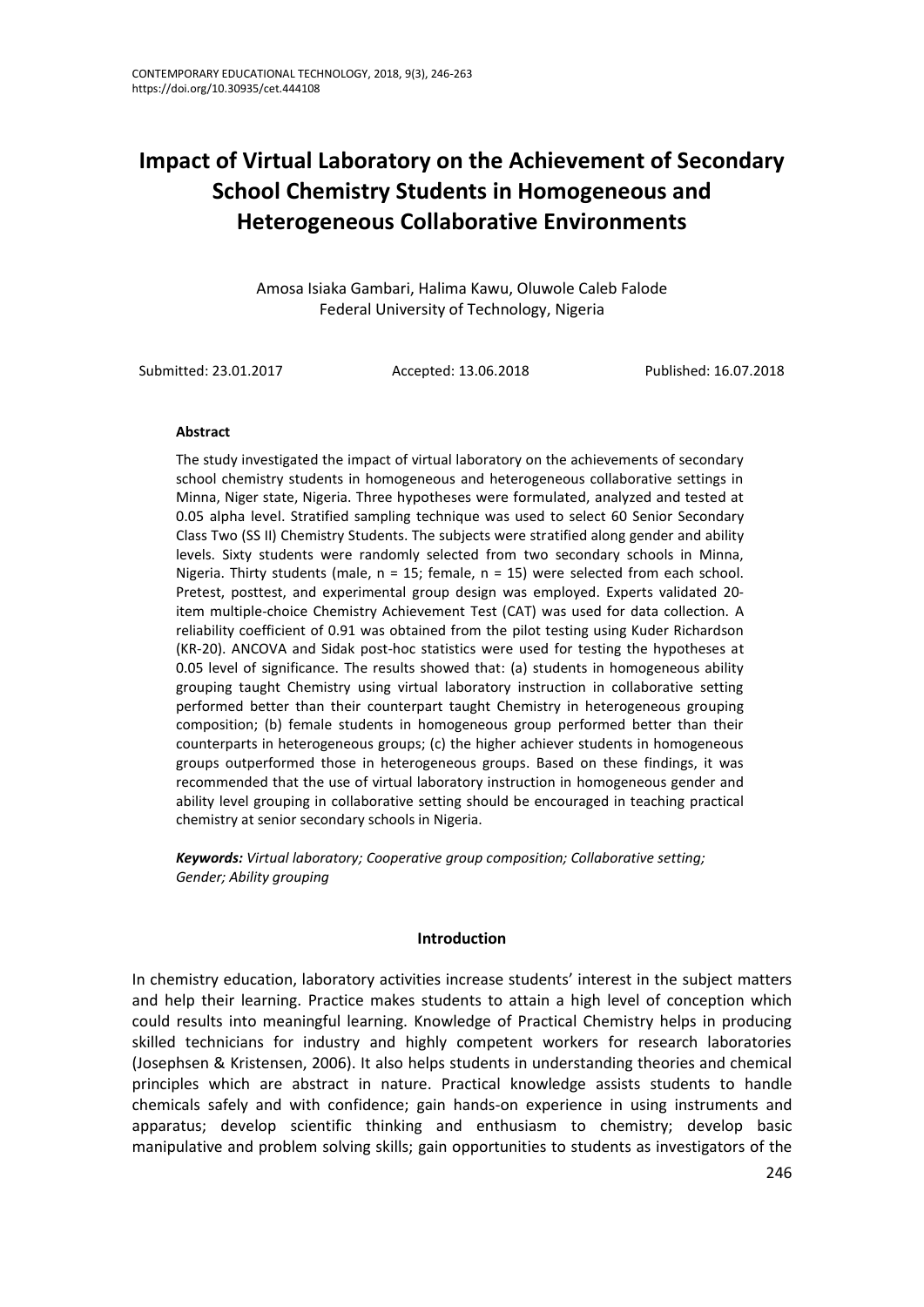# **Impact of Virtual Laboratory on the Achievement of Secondary School Chemistry Students in Homogeneous and Heterogeneous Collaborative Environments**

Amosa Isiaka Gambari, Halima Kawu, Oluwole Caleb Falode Federal University of Technology, Nigeria

Submitted: 23.01.2017 Accepted: 13.06.2018 Published: 16.07.2018

#### **Abstract**

The study investigated the impact of virtual laboratory on the achievements of secondary school chemistry students in homogeneous and heterogeneous collaborative settings in Minna, Niger state, Nigeria. Three hypotheses were formulated, analyzed and tested at 0.05 alpha level. Stratified sampling technique was used to select 60 Senior Secondary Class Two (SS II) Chemistry Students. The subjects were stratified along gender and ability levels. Sixty students were randomly selected from two secondary schools in Minna, Nigeria. Thirty students (male,  $n = 15$ ; female,  $n = 15$ ) were selected from each school. Pretest, posttest, and experimental group design was employed. Experts validated 20 item multiple-choice Chemistry Achievement Test (CAT) was used for data collection. A reliability coefficient of 0.91 was obtained from the pilot testing using Kuder Richardson (KR-20). ANCOVA and Sidak post-hoc statistics were used for testing the hypotheses at 0.05 level of significance. The results showed that: (a) students in homogeneous ability grouping taught Chemistry using virtual laboratory instruction in collaborative setting performed better than their counterpart taught Chemistry in heterogeneous grouping composition; (b) female students in homogeneous group performed better than their counterparts in heterogeneous groups; (c) the higher achiever students in homogeneous groups outperformed those in heterogeneous groups. Based on these findings, it was recommended that the use of virtual laboratory instruction in homogeneous gender and ability level grouping in collaborative setting should be encouraged in teaching practical chemistry at senior secondary schools in Nigeria.

*Keywords: Virtual laboratory; Cooperative group composition; Collaborative setting; Gender; Ability grouping*

#### **Introduction**

In chemistry education, laboratory activities increase students' interest in the subject matters and help their learning. Practice makes students to attain a high level of conception which could results into meaningful learning. Knowledge of Practical Chemistry helps in producing skilled technicians for industry and highly competent workers for research laboratories (Josephsen & Kristensen, 2006). It also helps students in understanding theories and chemical principles which are abstract in nature. Practical knowledge assists students to handle chemicals safely and with confidence; gain hands-on experience in using instruments and apparatus; develop scientific thinking and enthusiasm to chemistry; develop basic manipulative and problem solving skills; gain opportunities to students as investigators of the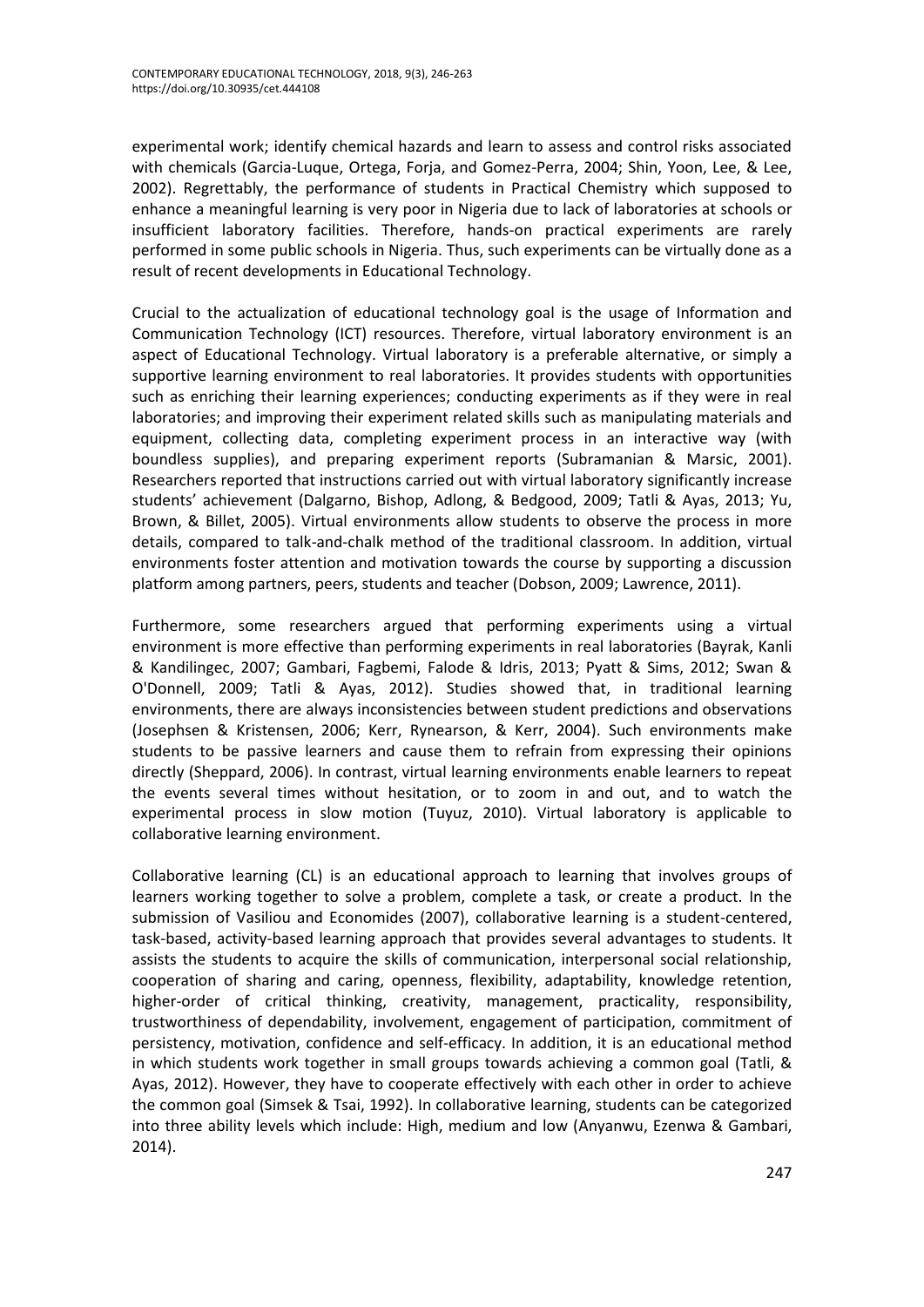experimental work; identify chemical hazards and learn to assess and control risks associated with chemicals (Garcia-Luque, Ortega, Forja, and Gomez-Perra, 2004; Shin, Yoon, Lee, & Lee, 2002). Regrettably, the performance of students in Practical Chemistry which supposed to enhance a meaningful learning is very poor in Nigeria due to lack of laboratories at schools or insufficient laboratory facilities. Therefore, hands-on practical experiments are rarely performed in some public schools in Nigeria. Thus, such experiments can be virtually done as a result of recent developments in Educational Technology.

Crucial to the actualization of educational technology goal is the usage of Information and Communication Technology (ICT) resources. Therefore, virtual laboratory environment is an aspect of Educational Technology. Virtual laboratory is a preferable alternative, or simply a supportive learning environment to real laboratories. It provides students with opportunities such as enriching their learning experiences; conducting experiments as if they were in real laboratories; and improving their experiment related skills such as manipulating materials and equipment, collecting data, completing experiment process in an interactive way (with boundless supplies), and preparing experiment reports (Subramanian & Marsic, 2001). Researchers reported that instructions carried out with virtual laboratory significantly increase students' achievement (Dalgarno, Bishop, Adlong, & Bedgood, 2009; Tatli & Ayas, 2013; Yu, Brown, & Billet, 2005). Virtual environments allow students to observe the process in more details, compared to talk-and-chalk method of the traditional classroom. In addition, virtual environments foster attention and motivation towards the course by supporting a discussion platform among partners, peers, students and teacher (Dobson, 2009; Lawrence, 2011).

Furthermore, some researchers argued that performing experiments using a virtual environment is more effective than performing experiments in real laboratories (Bayrak, Kanli & Kandilingec, 2007; Gambari, Fagbemi, Falode & Idris, 2013; Pyatt & Sims, 2012; Swan & O'Donnell, 2009; Tatli & Ayas, 2012). Studies showed that, in traditional learning environments, there are always inconsistencies between student predictions and observations (Josephsen & Kristensen, 2006; Kerr, Rynearson, & Kerr, 2004). Such environments make students to be passive learners and cause them to refrain from expressing their opinions directly (Sheppard, 2006). In contrast, virtual learning environments enable learners to repeat the events several times without hesitation, or to zoom in and out, and to watch the experimental process in slow motion (Tuyuz, 2010). Virtual laboratory is applicable to collaborative learning environment.

Collaborative learning (CL) is an educational approach to learning that involves groups of learners working together to solve a problem, complete a task, or create a product. In the submission of Vasiliou and Economides (2007), collaborative learning is a student-centered, task-based, activity-based learning approach that provides several advantages to students. It assists the students to acquire the skills of communication, interpersonal social relationship, cooperation of sharing and caring, openness, flexibility, adaptability, knowledge retention, higher-order of critical thinking, creativity, management, practicality, responsibility, trustworthiness of dependability, involvement, engagement of participation, commitment of persistency, motivation, confidence and self-efficacy. In addition, it is an educational method in which students work together in small groups towards achieving a common goal (Tatli, & Ayas, 2012). However, they have to cooperate effectively with each other in order to achieve the common goal (Simsek & Tsai, 1992). In collaborative learning, students can be categorized into three ability levels which include: High, medium and low (Anyanwu, Ezenwa & Gambari, 2014).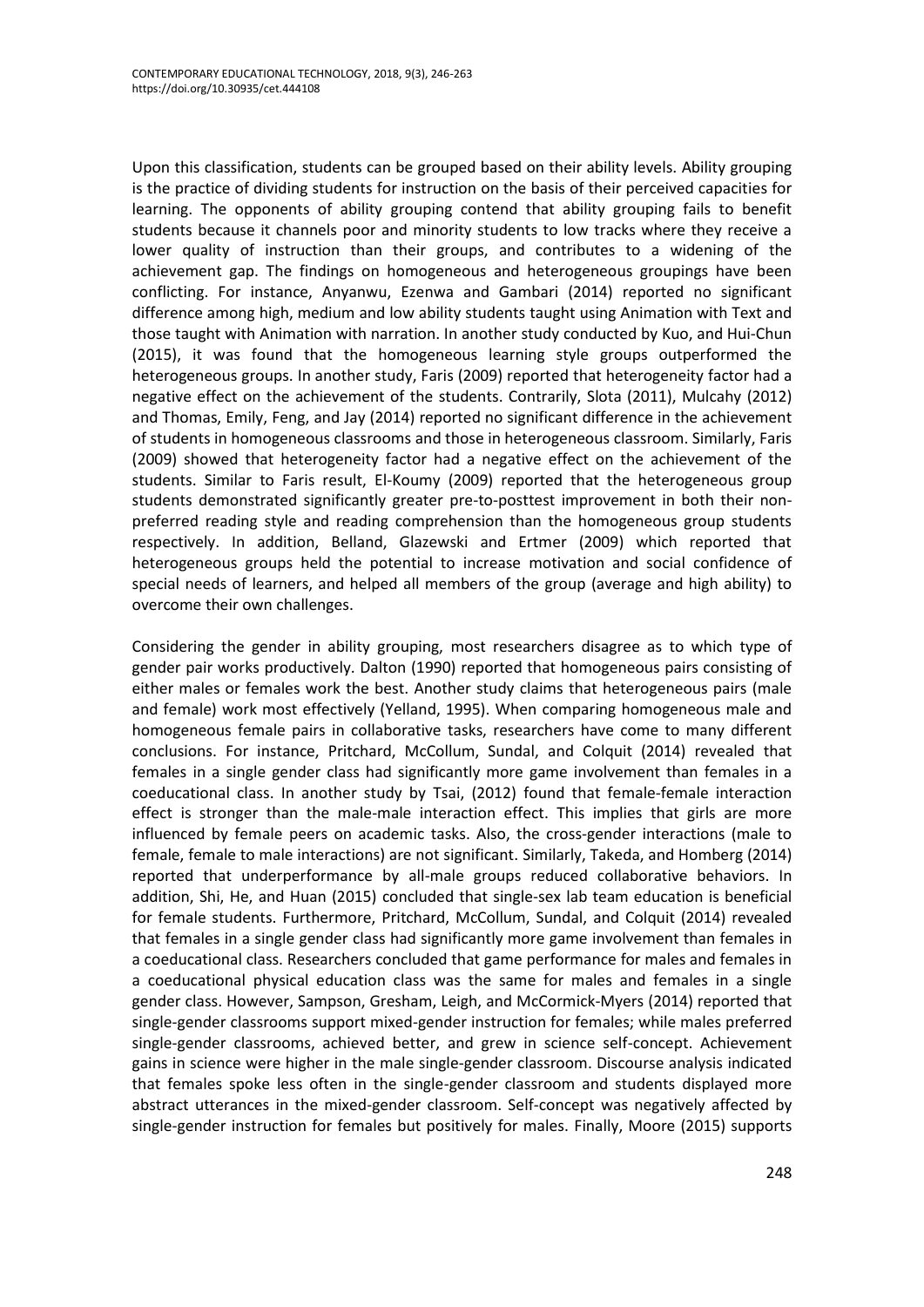Upon this classification, students can be grouped based on their ability levels. Ability grouping is the practice of dividing students for instruction on the basis of their perceived capacities for learning. The opponents of ability grouping contend that ability grouping fails to benefit students because it channels poor and minority students to low tracks where they receive a lower quality of instruction than their groups, and contributes to a widening of the achievement gap. The findings on homogeneous and heterogeneous groupings have been conflicting. For instance, Anyanwu, Ezenwa and Gambari (2014) reported no significant difference among high, medium and low ability students taught using Animation with Text and those taught with Animation with narration. In another study conducted by Kuo, and Hui-Chun (2015), it was found that the homogeneous learning style groups outperformed the heterogeneous groups. In another study, Faris (2009) reported that heterogeneity factor had a negative effect on the achievement of the students. Contrarily, Slota (2011), Mulcahy (2012) and Thomas, Emily, Feng, and Jay (2014) reported no significant difference in the achievement of students in homogeneous classrooms and those in heterogeneous classroom. Similarly, Faris (2009) showed that heterogeneity factor had a negative effect on the achievement of the students. Similar to Faris result, El-Koumy (2009) reported that the heterogeneous group students demonstrated significantly greater pre-to-posttest improvement in both their nonpreferred reading style and reading comprehension than the homogeneous group students respectively. In addition, Belland, Glazewski and Ertmer (2009) which reported that heterogeneous groups held the potential to increase motivation and social confidence of special needs of learners, and helped all members of the group (average and high ability) to overcome their own challenges.

Considering the gender in ability grouping, most researchers disagree as to which type of gender pair works productively. Dalton (1990) reported that homogeneous pairs consisting of either males or females work the best. Another study claims that heterogeneous pairs (male and female) work most effectively (Yelland, 1995). When comparing homogeneous male and homogeneous female pairs in collaborative tasks, researchers have come to many different conclusions. For instance, Pritchard, McCollum, Sundal, and Colquit (2014) revealed that females in a single gender class had significantly more game involvement than females in a coeducational class. In another study by Tsai, (2012) found that female-female interaction effect is stronger than the male-male interaction effect. This implies that girls are more influenced by female peers on academic tasks. Also, the cross-gender interactions (male to female, female to male interactions) are not significant. Similarly, Takeda, and Homberg (2014) reported that underperformance by all-male groups reduced collaborative behaviors. In addition, Shi, He, and Huan (2015) concluded that single-sex lab team education is beneficial for female students. Furthermore, Pritchard, McCollum, Sundal, and Colquit (2014) revealed that females in a single gender class had significantly more game involvement than females in a coeducational class. Researchers concluded that game performance for males and females in a coeducational physical education class was the same for males and females in a single gender class. However, Sampson, Gresham, Leigh, and McCormick-Myers (2014) reported that single-gender classrooms support mixed-gender instruction for females; while males preferred single-gender classrooms, achieved better, and grew in science self-concept. Achievement gains in science were higher in the male single-gender classroom. Discourse analysis indicated that females spoke less often in the single-gender classroom and students displayed more abstract utterances in the mixed-gender classroom. Self-concept was negatively affected by single-gender instruction for females but positively for males. Finally, Moore (2015) supports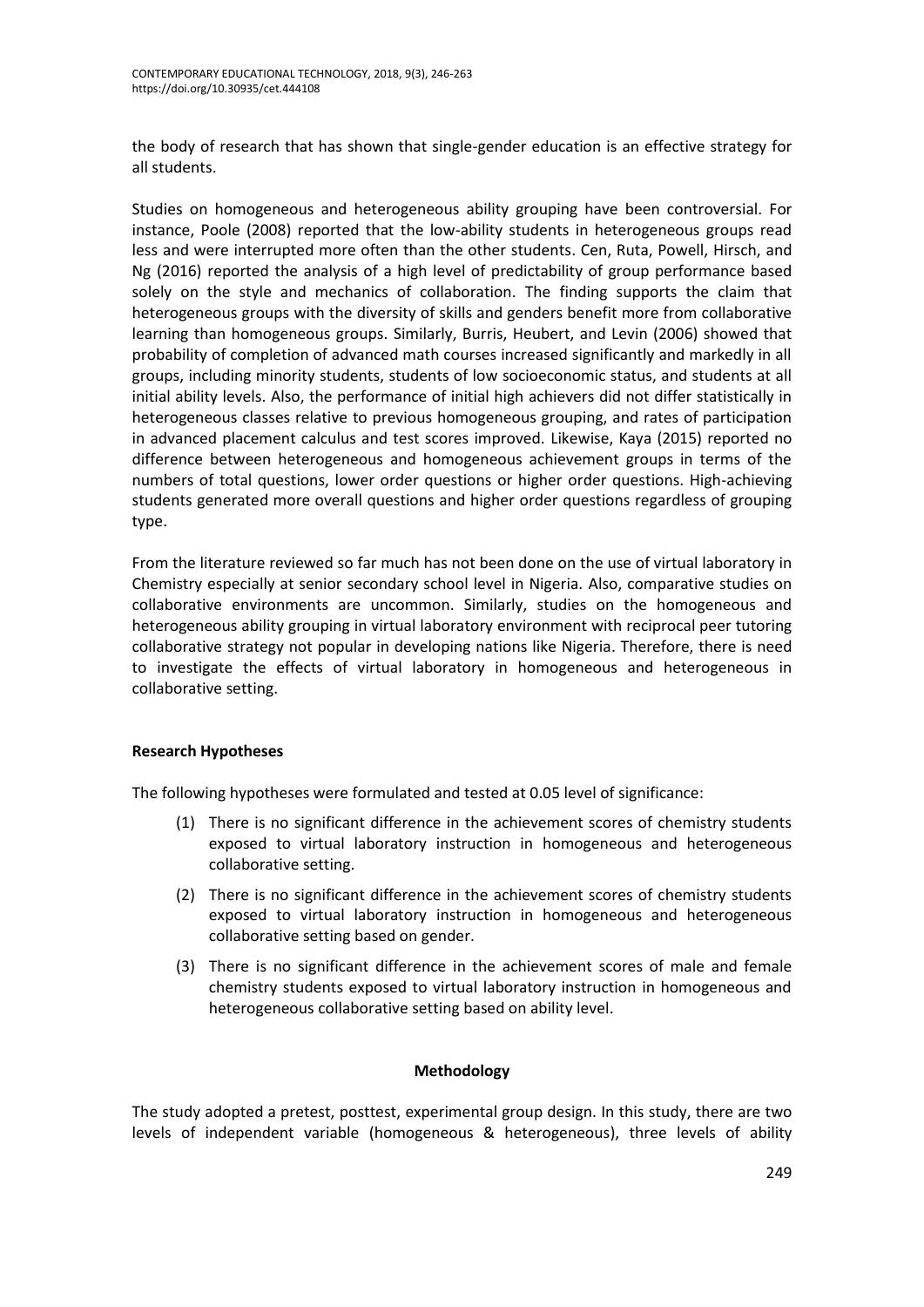the body of research that has shown that single-gender education is an effective strategy for all students.

Studies on homogeneous and heterogeneous ability grouping have been controversial. For instance, Poole (2008) reported that the low-ability students in heterogeneous groups read less and were interrupted more often than the other students. Cen, Ruta, Powell, Hirsch, and Ng (2016) reported the analysis of a high level of predictability of group performance based solely on the style and mechanics of collaboration. The finding supports the claim that heterogeneous groups with the diversity of skills and genders benefit more from collaborative learning than homogeneous groups. Similarly, Burris, Heubert, and Levin (2006) showed that probability of completion of advanced math courses increased significantly and markedly in all groups, including minority students, students of low socioeconomic status, and students at all initial ability levels. Also, the performance of initial high achievers did not differ statistically in heterogeneous classes relative to previous homogeneous grouping, and rates of participation in advanced placement calculus and test scores improved. Likewise, Kaya (2015) reported no difference between heterogeneous and homogeneous achievement groups in terms of the numbers of total questions, lower order questions or higher order questions. High-achieving students generated more overall questions and higher order questions regardless of grouping type.

From the literature reviewed so far much has not been done on the use of virtual laboratory in Chemistry especially at senior secondary school level in Nigeria. Also, comparative studies on collaborative environments are uncommon. Similarly, studies on the homogeneous and heterogeneous ability grouping in virtual laboratory environment with reciprocal peer tutoring collaborative strategy not popular in developing nations like Nigeria. Therefore, there is need to investigate the effects of virtual laboratory in homogeneous and heterogeneous in collaborative setting.

## **Research Hypotheses**

The following hypotheses were formulated and tested at 0.05 level of significance:

- (1) There is no significant difference in the achievement scores of chemistry students exposed to virtual laboratory instruction in homogeneous and heterogeneous collaborative setting.
- (2) There is no significant difference in the achievement scores of chemistry students exposed to virtual laboratory instruction in homogeneous and heterogeneous collaborative setting based on gender.
- (3) There is no significant difference in the achievement scores of male and female chemistry students exposed to virtual laboratory instruction in homogeneous and heterogeneous collaborative setting based on ability level.

## **Methodology**

The study adopted a pretest, posttest, experimental group design. In this study, there are two levels of independent variable (homogeneous & heterogeneous), three levels of ability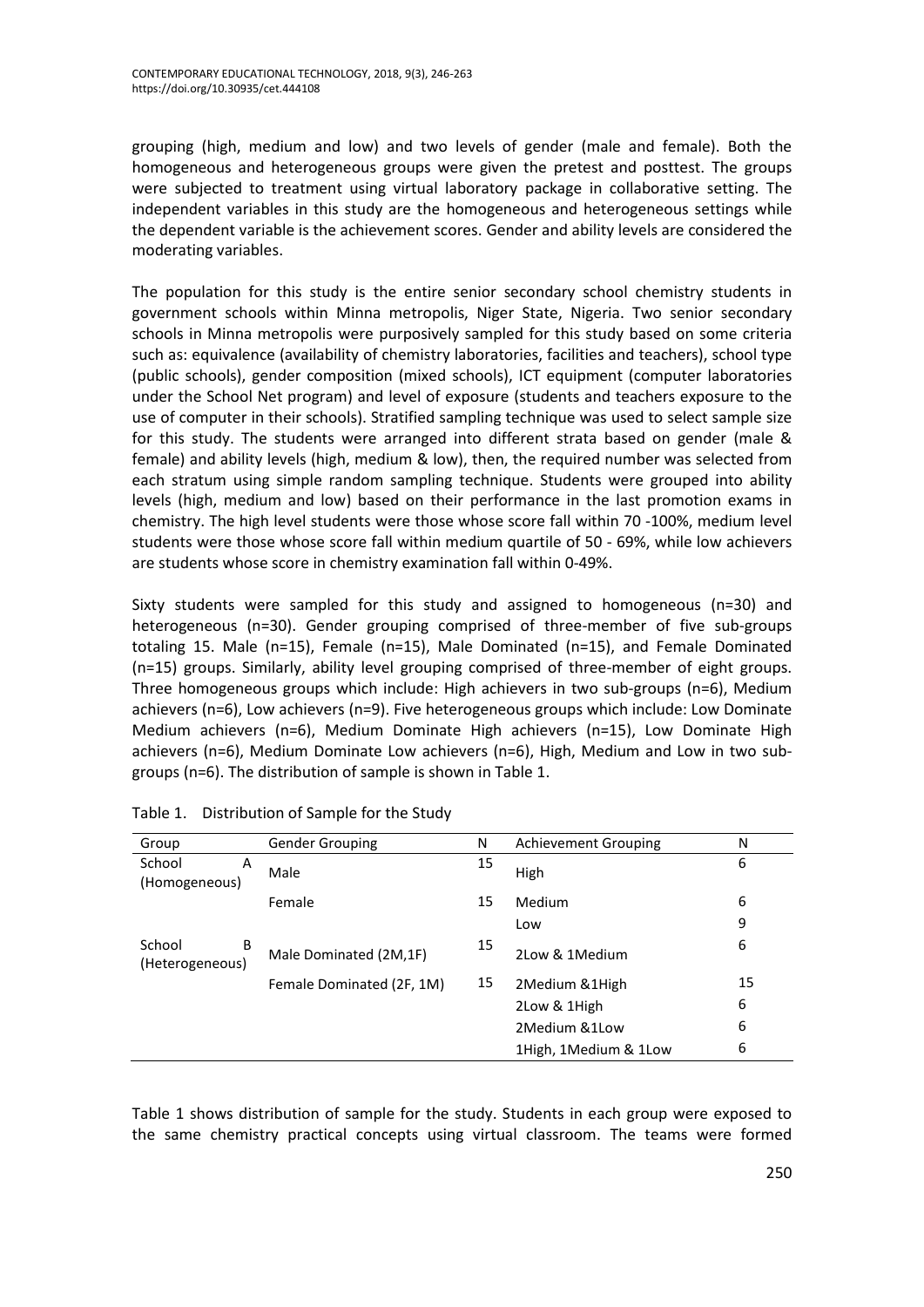grouping (high, medium and low) and two levels of gender (male and female). Both the homogeneous and heterogeneous groups were given the pretest and posttest. The groups were subjected to treatment using virtual laboratory package in collaborative setting. The independent variables in this study are the homogeneous and heterogeneous settings while the dependent variable is the achievement scores. Gender and ability levels are considered the moderating variables.

The population for this study is the entire senior secondary school chemistry students in government schools within Minna metropolis, Niger State, Nigeria. Two senior secondary schools in Minna metropolis were purposively sampled for this study based on some criteria such as: equivalence (availability of chemistry laboratories, facilities and teachers), school type (public schools), gender composition (mixed schools), ICT equipment (computer laboratories under the School Net program) and level of exposure (students and teachers exposure to the use of computer in their schools). Stratified sampling technique was used to select sample size for this study. The students were arranged into different strata based on gender (male & female) and ability levels (high, medium & low), then, the required number was selected from each stratum using simple random sampling technique. Students were grouped into ability levels (high, medium and low) based on their performance in the last promotion exams in chemistry. The high level students were those whose score fall within 70 -100%, medium level students were those whose score fall within medium quartile of 50 - 69%, while low achievers are students whose score in chemistry examination fall within 0-49%.

Sixty students were sampled for this study and assigned to homogeneous (n=30) and heterogeneous (n=30). Gender grouping comprised of three-member of five sub-groups totaling 15. Male (n=15), Female (n=15), Male Dominated (n=15), and Female Dominated (n=15) groups. Similarly, ability level grouping comprised of three-member of eight groups. Three homogeneous groups which include: High achievers in two sub-groups (n=6), Medium achievers (n=6), Low achievers (n=9). Five heterogeneous groups which include: Low Dominate Medium achievers (n=6), Medium Dominate High achievers (n=15), Low Dominate High achievers (n=6), Medium Dominate Low achievers (n=6), High, Medium and Low in two subgroups (n=6). The distribution of sample is shown in Table 1.

| Group                          | <b>Gender Grouping</b>                              | N  | <b>Achievement Grouping</b> | N  |
|--------------------------------|-----------------------------------------------------|----|-----------------------------|----|
| School<br>A<br>(Homogeneous)   | Male                                                | 15 | High                        | 6  |
|                                | Female                                              | 15 | Medium                      | 6  |
|                                |                                                     |    | Low                         | 9  |
| School<br>B<br>(Heterogeneous) | Male Dominated (2M,1F)<br>Female Dominated (2F, 1M) |    | 2Low & 1Medium              | 6  |
|                                |                                                     |    | 2 Medium & 1 High           | 15 |
|                                |                                                     |    | 2Low & 1High                | 6  |
|                                |                                                     |    | 2Medium & 1Low              | 6  |
|                                |                                                     |    | 1High, 1Medium & 1Low       | 6  |

Table 1. Distribution of Sample for the Study

Table 1 shows distribution of sample for the study. Students in each group were exposed to the same chemistry practical concepts using virtual classroom. The teams were formed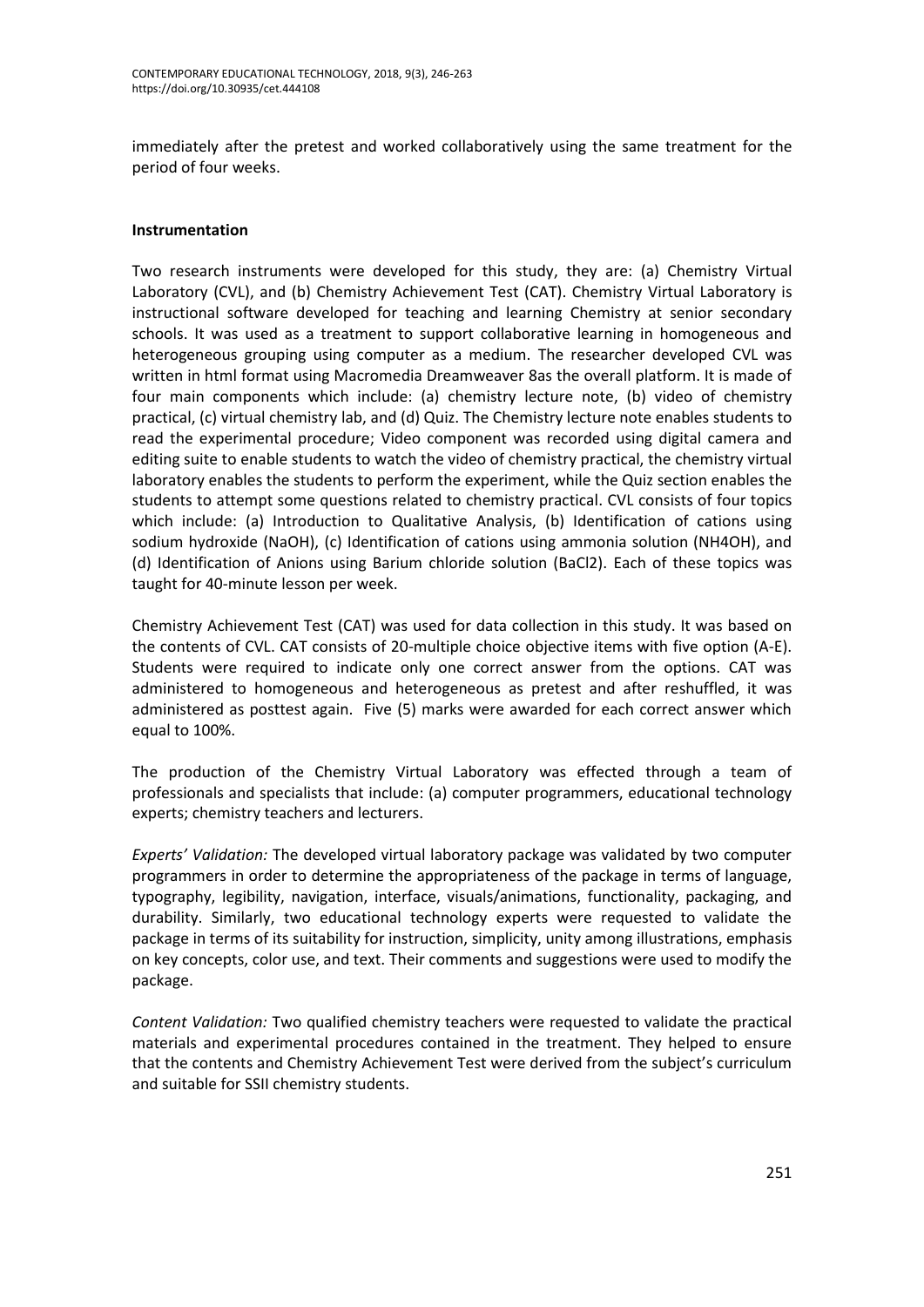immediately after the pretest and worked collaboratively using the same treatment for the period of four weeks.

## **Instrumentation**

Two research instruments were developed for this study, they are: (a) Chemistry Virtual Laboratory (CVL), and (b) Chemistry Achievement Test (CAT). Chemistry Virtual Laboratory is instructional software developed for teaching and learning Chemistry at senior secondary schools. It was used as a treatment to support collaborative learning in homogeneous and heterogeneous grouping using computer as a medium. The researcher developed CVL was written in html format using Macromedia Dreamweaver 8as the overall platform. It is made of four main components which include: (a) chemistry lecture note, (b) video of chemistry practical, (c) virtual chemistry lab, and (d) Quiz. The Chemistry lecture note enables students to read the experimental procedure; Video component was recorded using digital camera and editing suite to enable students to watch the video of chemistry practical, the chemistry virtual laboratory enables the students to perform the experiment, while the Quiz section enables the students to attempt some questions related to chemistry practical. CVL consists of four topics which include: (a) Introduction to Qualitative Analysis, (b) Identification of cations using sodium hydroxide (NaOH), (c) Identification of cations using ammonia solution (NH4OH), and (d) Identification of Anions using Barium chloride solution (BaCl2). Each of these topics was taught for 40-minute lesson per week.

Chemistry Achievement Test (CAT) was used for data collection in this study. It was based on the contents of CVL. CAT consists of 20-multiple choice objective items with five option (A-E). Students were required to indicate only one correct answer from the options. CAT was administered to homogeneous and heterogeneous as pretest and after reshuffled, it was administered as posttest again. Five (5) marks were awarded for each correct answer which equal to 100%.

The production of the Chemistry Virtual Laboratory was effected through a team of professionals and specialists that include: (a) computer programmers, educational technology experts; chemistry teachers and lecturers.

*Experts' Validation:* The developed virtual laboratory package was validated by two computer programmers in order to determine the appropriateness of the package in terms of language, typography, legibility, navigation, interface, visuals/animations, functionality, packaging, and durability. Similarly, two educational technology experts were requested to validate the package in terms of its suitability for instruction, simplicity, unity among illustrations, emphasis on key concepts, color use, and text. Their comments and suggestions were used to modify the package.

*Content Validation:* Two qualified chemistry teachers were requested to validate the practical materials and experimental procedures contained in the treatment. They helped to ensure that the contents and Chemistry Achievement Test were derived from the subject's curriculum and suitable for SSII chemistry students.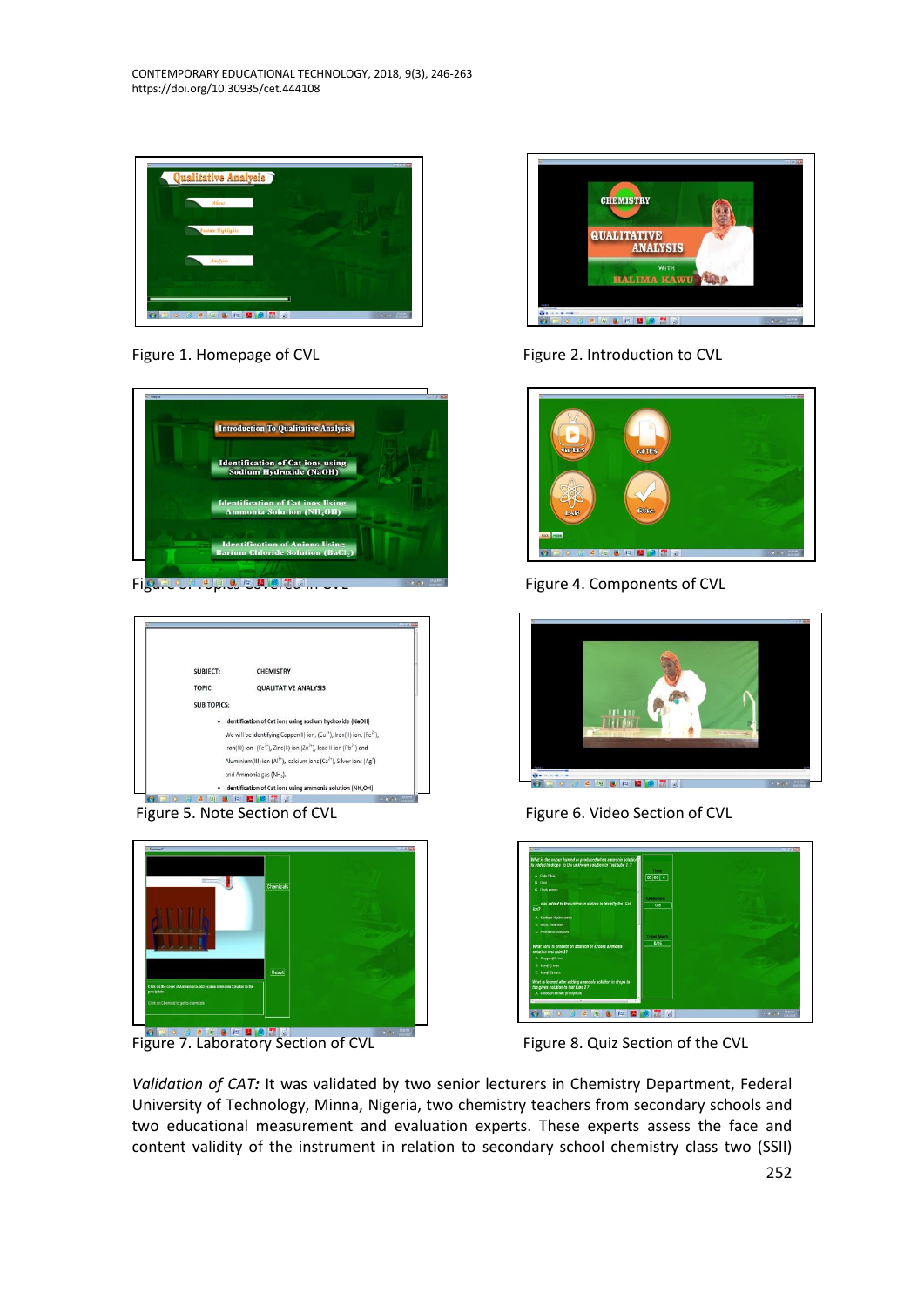CONTEMPORARY EDUCATIONAL TECHNOLOGY, 2018, 9(3), 246-263 https://doi.org/10.30935/cet.444108









**Figure 7. Laboratory Section of CVL** Figure 8. Quiz Section of the CVL Figure 7. Laboratory Section of CVL



Figure 1. Homepage of CVL Figure 2. Introduction to CVL



Figure 3. Components of CVL Figure 4. Components of CVL



Figure 5. Note Section of CVL Figure 6. Video Section of CVL



*Validation of CAT:* It was validated by two senior lecturers in Chemistry Department, Federal University of Technology, Minna, Nigeria, two chemistry teachers from secondary schools and two educational measurement and evaluation experts. These experts assess the face and content validity of the instrument in relation to secondary school chemistry class two (SSII)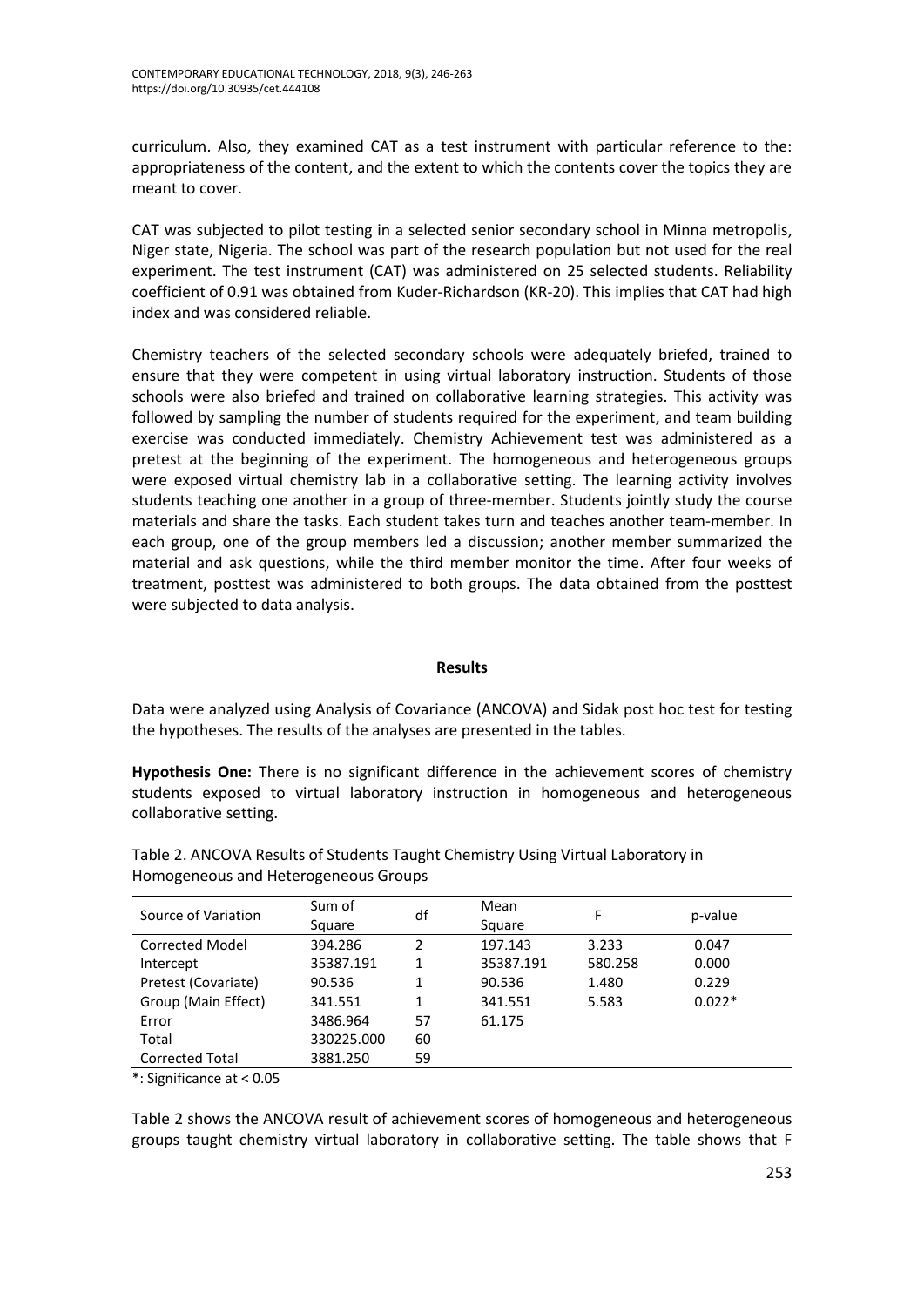curriculum. Also, they examined CAT as a test instrument with particular reference to the: appropriateness of the content, and the extent to which the contents cover the topics they are meant to cover.

CAT was subjected to pilot testing in a selected senior secondary school in Minna metropolis, Niger state, Nigeria. The school was part of the research population but not used for the real experiment. The test instrument (CAT) was administered on 25 selected students. Reliability coefficient of 0.91 was obtained from Kuder-Richardson (KR-20). This implies that CAT had high index and was considered reliable.

Chemistry teachers of the selected secondary schools were adequately briefed, trained to ensure that they were competent in using virtual laboratory instruction. Students of those schools were also briefed and trained on collaborative learning strategies. This activity was followed by sampling the number of students required for the experiment, and team building exercise was conducted immediately. Chemistry Achievement test was administered as a pretest at the beginning of the experiment. The homogeneous and heterogeneous groups were exposed virtual chemistry lab in a collaborative setting. The learning activity involves students teaching one another in a group of three-member. Students jointly study the course materials and share the tasks. Each student takes turn and teaches another team-member. In each group, one of the group members led a discussion; another member summarized the material and ask questions, while the third member monitor the time. After four weeks of treatment, posttest was administered to both groups. The data obtained from the posttest were subjected to data analysis.

## **Results**

Data were analyzed using Analysis of Covariance (ANCOVA) and Sidak post hoc test for testing the hypotheses. The results of the analyses are presented in the tables.

**Hypothesis One:** There is no significant difference in the achievement scores of chemistry students exposed to virtual laboratory instruction in homogeneous and heterogeneous collaborative setting.

| Source of Variation    | Sum of<br>Square | df | Mean<br>Square | F       | p-value  |
|------------------------|------------------|----|----------------|---------|----------|
| Corrected Model        | 394.286          | 2  | 197.143        | 3.233   | 0.047    |
| Intercept              | 35387.191        | 1  | 35387.191      | 580.258 | 0.000    |
| Pretest (Covariate)    | 90.536           | 1  | 90.536         | 1.480   | 0.229    |
| Group (Main Effect)    | 341.551          | 1  | 341.551        | 5.583   | $0.022*$ |
| Error                  | 3486.964         | 57 | 61.175         |         |          |
| Total                  | 330225.000       | 60 |                |         |          |
| <b>Corrected Total</b> | 3881.250         | 59 |                |         |          |

Table 2. ANCOVA Results of Students Taught Chemistry Using Virtual Laboratory in Homogeneous and Heterogeneous Groups

\*: Significance at < 0.05

Table 2 shows the ANCOVA result of achievement scores of homogeneous and heterogeneous groups taught chemistry virtual laboratory in collaborative setting. The table shows that F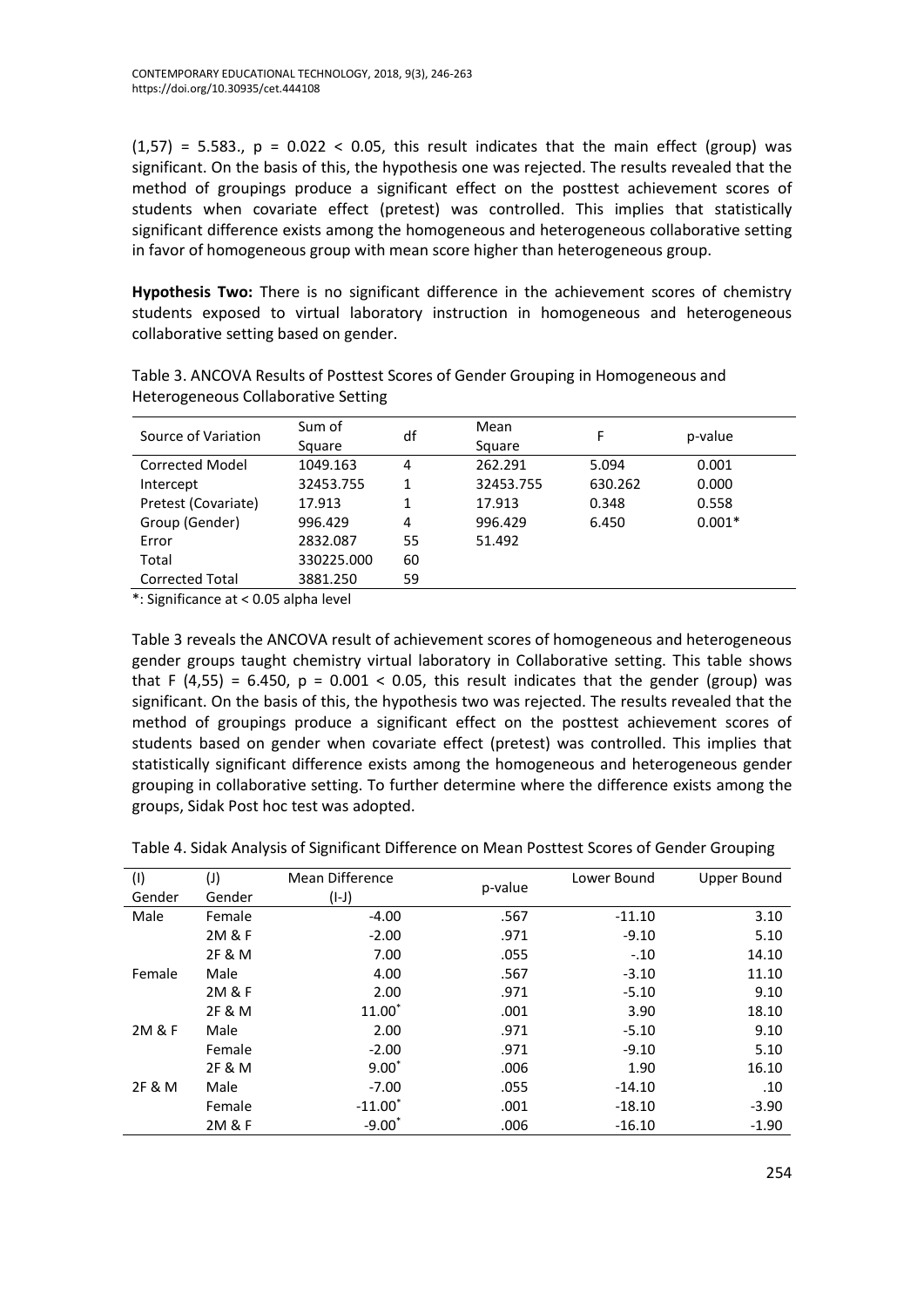$(1,57)$  = 5.583.,  $p = 0.022 < 0.05$ , this result indicates that the main effect (group) was significant. On the basis of this, the hypothesis one was rejected. The results revealed that the method of groupings produce a significant effect on the posttest achievement scores of students when covariate effect (pretest) was controlled. This implies that statistically significant difference exists among the homogeneous and heterogeneous collaborative setting in favor of homogeneous group with mean score higher than heterogeneous group.

**Hypothesis Two:** There is no significant difference in the achievement scores of chemistry students exposed to virtual laboratory instruction in homogeneous and heterogeneous collaborative setting based on gender.

| Source of Variation    | Sum of     | df | Mean      | F.      | p-value  |  |
|------------------------|------------|----|-----------|---------|----------|--|
|                        | Square     |    | Square    |         |          |  |
| <b>Corrected Model</b> | 1049.163   | 4  | 262.291   | 5.094   | 0.001    |  |
| Intercept              | 32453.755  | 1  | 32453.755 | 630.262 | 0.000    |  |
| Pretest (Covariate)    | 17.913     | 1  | 17.913    | 0.348   | 0.558    |  |
| Group (Gender)         | 996.429    | 4  | 996.429   | 6.450   | $0.001*$ |  |
| Error                  | 2832.087   | 55 | 51.492    |         |          |  |
| Total                  | 330225.000 | 60 |           |         |          |  |
| <b>Corrected Total</b> | 3881.250   | 59 |           |         |          |  |

Table 3. ANCOVA Results of Posttest Scores of Gender Grouping in Homogeneous and Heterogeneous Collaborative Setting

\*: Significance at < 0.05 alpha level

Table 3 reveals the ANCOVA result of achievement scores of homogeneous and heterogeneous gender groups taught chemistry virtual laboratory in Collaborative setting. This table shows that F (4,55) = 6.450,  $p = 0.001 < 0.05$ , this result indicates that the gender (group) was significant. On the basis of this, the hypothesis two was rejected. The results revealed that the method of groupings produce a significant effect on the posttest achievement scores of students based on gender when covariate effect (pretest) was controlled. This implies that statistically significant difference exists among the homogeneous and heterogeneous gender grouping in collaborative setting. To further determine where the difference exists among the groups, Sidak Post hoc test was adopted.

Table 4. Sidak Analysis of Significant Difference on Mean Posttest Scores of Gender Grouping

| (1)    | $(\mathsf{I})$ | Mean Difference | p-value | Lower Bound | Upper Bound |
|--------|----------------|-----------------|---------|-------------|-------------|
| Gender | Gender         | $(I-I)$         |         |             |             |
| Male   | Female         | $-4.00$         | .567    | $-11.10$    | 3.10        |
|        | 2M & F         | $-2.00$         | .971    | $-9.10$     | 5.10        |
|        | 2F & M         | 7.00            | .055    | $-.10$      | 14.10       |
| Female | Male           | 4.00            | .567    | $-3.10$     | 11.10       |
|        | 2M & F         | 2.00            | .971    | $-5.10$     | 9.10        |
|        | 2F & M         | $11.00*$        | .001    | 3.90        | 18.10       |
| 2M & F | Male           | 2.00            | .971    | $-5.10$     | 9.10        |
|        | Female         | $-2.00$         | .971    | $-9.10$     | 5.10        |
|        | 2F & M         | $9.00*$         | .006    | 1.90        | 16.10       |
| 2F & M | Male           | $-7.00$         | .055    | $-14.10$    | .10         |
|        | Female         | $-11.00^*$      | .001    | $-18.10$    | $-3.90$     |
|        | 2M & F         | $-9.00*$        | .006    | $-16.10$    | $-1.90$     |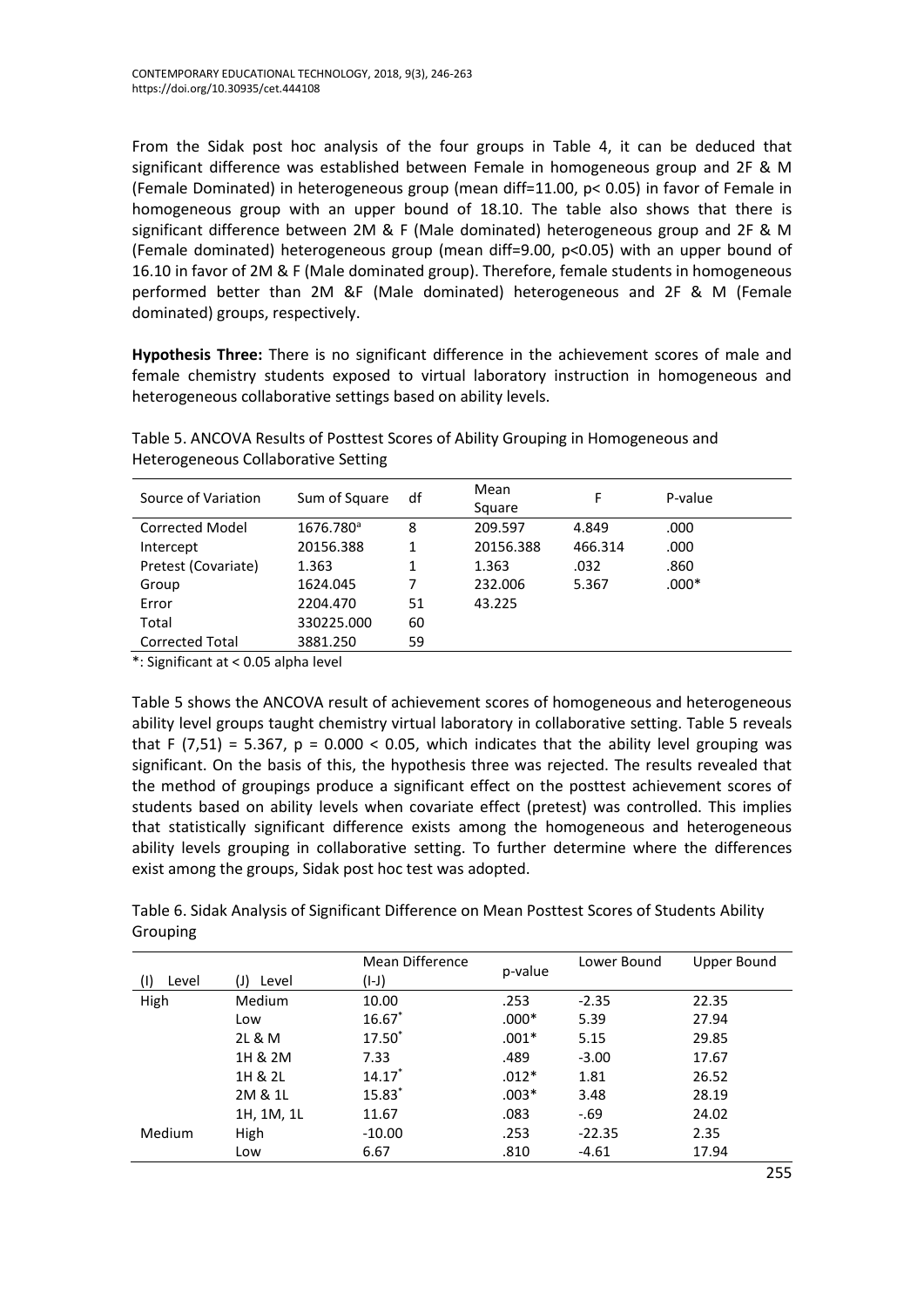From the Sidak post hoc analysis of the four groups in Table 4, it can be deduced that significant difference was established between Female in homogeneous group and 2F & M (Female Dominated) in heterogeneous group (mean diff=11.00, p< 0.05) in favor of Female in homogeneous group with an upper bound of 18.10. The table also shows that there is significant difference between 2M & F (Male dominated) heterogeneous group and 2F & M (Female dominated) heterogeneous group (mean diff=9.00, p<0.05) with an upper bound of 16.10 in favor of 2M & F (Male dominated group). Therefore, female students in homogeneous performed better than 2M &F (Male dominated) heterogeneous and 2F & M (Female dominated) groups, respectively.

**Hypothesis Three:** There is no significant difference in the achievement scores of male and female chemistry students exposed to virtual laboratory instruction in homogeneous and heterogeneous collaborative settings based on ability levels.

| Source of Variation    | Sum of Square         | df | Mean<br>Square | F       | P-value |
|------------------------|-----------------------|----|----------------|---------|---------|
| Corrected Model        | 1676.780 <sup>a</sup> | 8  | 209.597        | 4.849   | .000    |
| Intercept              | 20156.388             |    | 20156.388      | 466.314 | .000    |
| Pretest (Covariate)    | 1.363                 |    | 1.363          | .032    | .860    |
| Group                  | 1624.045              | 7  | 232.006        | 5.367   | $.000*$ |
| Error                  | 2204.470              | 51 | 43.225         |         |         |
| Total                  | 330225.000            | 60 |                |         |         |
| <b>Corrected Total</b> | 3881.250              | 59 |                |         |         |

Table 5. ANCOVA Results of Posttest Scores of Ability Grouping in Homogeneous and Heterogeneous Collaborative Setting

\*: Significant at < 0.05 alpha level

Table 5 shows the ANCOVA result of achievement scores of homogeneous and heterogeneous ability level groups taught chemistry virtual laboratory in collaborative setting. Table 5 reveals that F (7,51) = 5.367,  $p = 0.000 < 0.05$ , which indicates that the ability level grouping was significant. On the basis of this, the hypothesis three was rejected. The results revealed that the method of groupings produce a significant effect on the posttest achievement scores of students based on ability levels when covariate effect (pretest) was controlled. This implies that statistically significant difference exists among the homogeneous and heterogeneous ability levels grouping in collaborative setting. To further determine where the differences exist among the groups, Sidak post hoc test was adopted.

Table 6. Sidak Analysis of Significant Difference on Mean Posttest Scores of Students Ability Grouping

| Level         | (J)<br>Level | Mean Difference<br>(I-J) | p-value | Lower Bound | Upper Bound |
|---------------|--------------|--------------------------|---------|-------------|-------------|
| High          | Medium       | 10.00                    | .253    | $-2.35$     | 22.35       |
|               | Low          | $16.67*$                 | $.000*$ | 5.39        | 27.94       |
|               | 2L & M       | 17.50 <sup>*</sup>       | $.001*$ | 5.15        | 29.85       |
|               | 1H & 2M      | 7.33                     | .489    | $-3.00$     | 17.67       |
|               | 1H & 2L      | $14.17*$                 | $.012*$ | 1.81        | 26.52       |
|               | 2M & 1L      | 15.83*                   | $.003*$ | 3.48        | 28.19       |
|               | 1H, 1M, 1L   | 11.67                    | .083    | $-69$       | 24.02       |
| <b>Medium</b> | High         | $-10.00$                 | .253    | $-22.35$    | 2.35        |
|               | Low          | 6.67                     | .810    | $-4.61$     | 17.94       |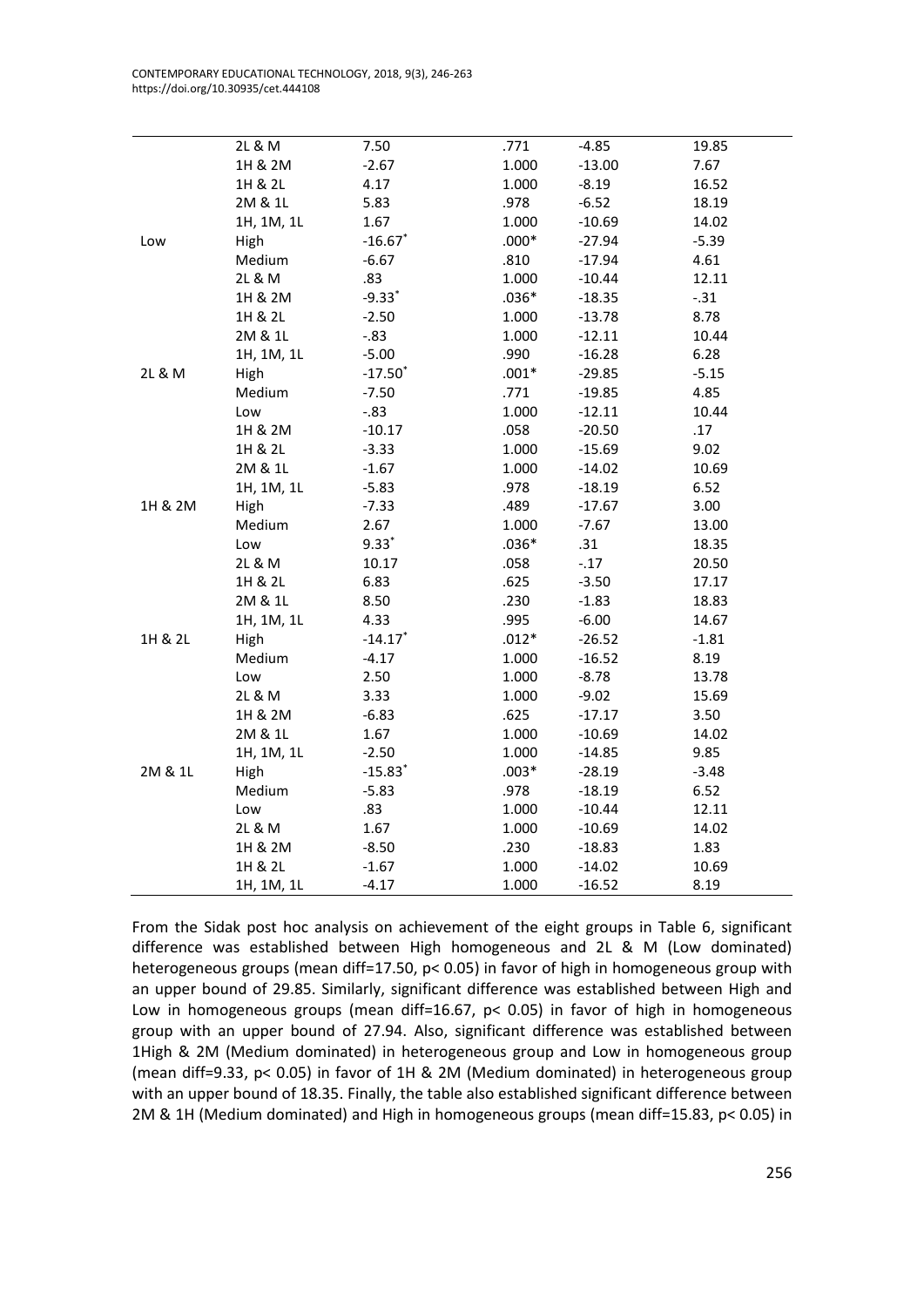CONTEMPORARY EDUCATIONAL TECHNOLOGY, 2018, 9(3), 246-263 https://doi.org/10.30935/cet.444108

|         | 2L & M     | 7.50                  | .771    | $-4.85$  | 19.85   |
|---------|------------|-----------------------|---------|----------|---------|
|         | 1H & 2M    | $-2.67$               | 1.000   | $-13.00$ | 7.67    |
|         | 1H & 2L    | 4.17                  | 1.000   | $-8.19$  | 16.52   |
|         | 2M & 1L    | 5.83                  | .978    | $-6.52$  | 18.19   |
|         | 1H, 1M, 1L | 1.67                  | 1.000   | $-10.69$ | 14.02   |
| Low     | High       | $-16.67$ *            | $.000*$ | $-27.94$ | $-5.39$ |
|         | Medium     | $-6.67$               | .810    | $-17.94$ | 4.61    |
|         | 2L & M     | .83                   | 1.000   | $-10.44$ | 12.11   |
|         | 1H & 2M    | $-9.33$ <sup>*</sup>  | $.036*$ | $-18.35$ | $-.31$  |
|         | 1H & 2L    | $-2.50$               | 1.000   | $-13.78$ | 8.78    |
|         | 2M & 1L    | $-0.83$               | 1.000   | $-12.11$ | 10.44   |
|         | 1H, 1M, 1L | $-5.00$               | .990    | $-16.28$ | 6.28    |
| 2L & M  | High       | $-17.50$ <sup>*</sup> | $.001*$ | $-29.85$ | $-5.15$ |
|         | Medium     | $-7.50$               | .771    | $-19.85$ | 4.85    |
|         | Low        | $-0.83$               | 1.000   | $-12.11$ | 10.44   |
|         | 1H & 2M    | $-10.17$              | .058    | $-20.50$ | .17     |
|         | 1H & 2L    | $-3.33$               | 1.000   | $-15.69$ | 9.02    |
|         | 2M & 1L    | $-1.67$               | 1.000   | $-14.02$ | 10.69   |
|         | 1H, 1M, 1L | $-5.83$               | .978    | $-18.19$ | 6.52    |
| 1H & 2M | High       | $-7.33$               | .489    | $-17.67$ | 3.00    |
|         | Medium     | 2.67                  | 1.000   | $-7.67$  | 13.00   |
|         | Low        | $9.33*$               | $.036*$ | .31      | 18.35   |
|         | 2L & M     | 10.17                 | .058    | $-.17$   | 20.50   |
|         | 1H & 2L    | 6.83                  | .625    | $-3.50$  | 17.17   |
|         | 2M & 1L    | 8.50                  | .230    | $-1.83$  | 18.83   |
|         | 1H, 1M, 1L | 4.33                  | .995    | $-6.00$  | 14.67   |
| 1H & 2L | High       | $-14.17$ <sup>*</sup> | $.012*$ | $-26.52$ | $-1.81$ |
|         | Medium     | $-4.17$               | 1.000   | $-16.52$ | 8.19    |
|         | Low        | 2.50                  | 1.000   | $-8.78$  | 13.78   |
|         | 2L & M     | 3.33                  | 1.000   | $-9.02$  | 15.69   |
|         | 1H & 2M    | $-6.83$               | .625    | $-17.17$ | 3.50    |
|         | 2M & 1L    | 1.67                  | 1.000   | $-10.69$ | 14.02   |
|         | 1H, 1M, 1L | $-2.50$               | 1.000   | $-14.85$ | 9.85    |
| 2M & 1L | High       | $-15.83$ <sup>*</sup> | $.003*$ | $-28.19$ | $-3.48$ |
|         | Medium     | $-5.83$               | .978    | $-18.19$ | 6.52    |
|         | Low        | .83                   | 1.000   | $-10.44$ | 12.11   |
|         | 2L & M     | 1.67                  | 1.000   | $-10.69$ | 14.02   |
|         | 1H & 2M    | $-8.50$               | .230    | $-18.83$ | 1.83    |
|         | 1H & 2L    | $-1.67$               | 1.000   | $-14.02$ | 10.69   |
|         | 1H, 1M, 1L | $-4.17$               | 1.000   | $-16.52$ | 8.19    |

From the Sidak post hoc analysis on achievement of the eight groups in Table 6, significant difference was established between High homogeneous and 2L & M (Low dominated) heterogeneous groups (mean diff=17.50, p< 0.05) in favor of high in homogeneous group with an upper bound of 29.85. Similarly, significant difference was established between High and Low in homogeneous groups (mean diff=16.67,  $p$ < 0.05) in favor of high in homogeneous group with an upper bound of 27.94. Also, significant difference was established between 1High & 2M (Medium dominated) in heterogeneous group and Low in homogeneous group (mean diff=9.33, p< 0.05) in favor of 1H & 2M (Medium dominated) in heterogeneous group with an upper bound of 18.35. Finally, the table also established significant difference between 2M & 1H (Medium dominated) and High in homogeneous groups (mean diff=15.83, p< 0.05) in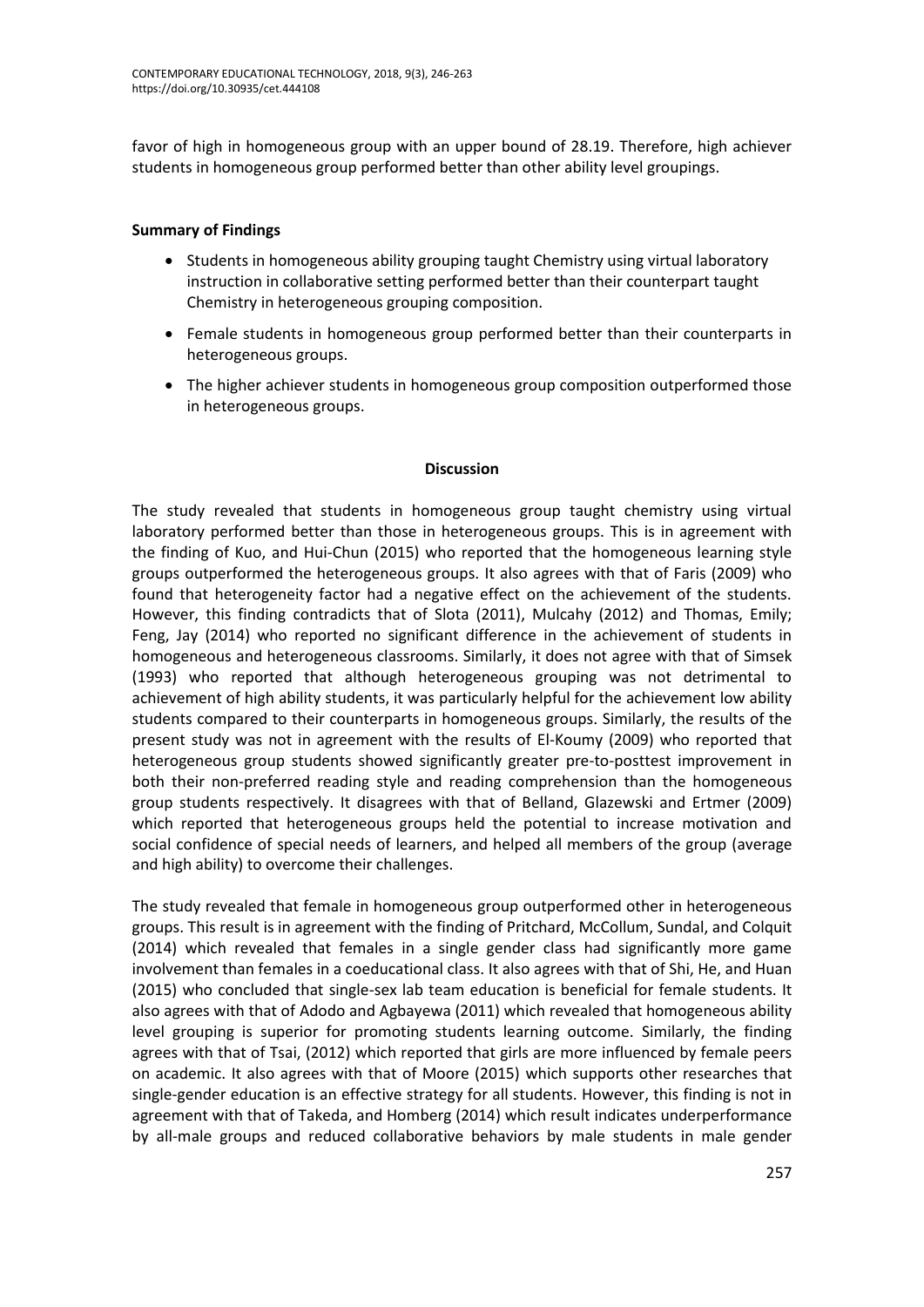favor of high in homogeneous group with an upper bound of 28.19. Therefore, high achiever students in homogeneous group performed better than other ability level groupings.

# **Summary of Findings**

- Students in homogeneous ability grouping taught Chemistry using virtual laboratory instruction in collaborative setting performed better than their counterpart taught Chemistry in heterogeneous grouping composition.
- Female students in homogeneous group performed better than their counterparts in heterogeneous groups.
- The higher achiever students in homogeneous group composition outperformed those in heterogeneous groups.

#### **Discussion**

The study revealed that students in homogeneous group taught chemistry using virtual laboratory performed better than those in heterogeneous groups. This is in agreement with the finding of Kuo, and Hui-Chun (2015) who reported that the homogeneous learning style groups outperformed the heterogeneous groups. It also agrees with that of Faris (2009) who found that heterogeneity factor had a negative effect on the achievement of the students. However, this finding contradicts that of Slota (2011), Mulcahy (2012) and Thomas, Emily; Feng, Jay (2014) who reported no significant difference in the achievement of students in homogeneous and heterogeneous classrooms. Similarly, it does not agree with that of Simsek (1993) who reported that although heterogeneous grouping was not detrimental to achievement of high ability students, it was particularly helpful for the achievement low ability students compared to their counterparts in homogeneous groups. Similarly, the results of the present study was not in agreement with the results of El-Koumy (2009) who reported that heterogeneous group students showed significantly greater pre-to-posttest improvement in both their non-preferred reading style and reading comprehension than the homogeneous group students respectively. It disagrees with that of Belland, Glazewski and Ertmer (2009) which reported that heterogeneous groups held the potential to increase motivation and social confidence of special needs of learners, and helped all members of the group (average and high ability) to overcome their challenges.

The study revealed that female in homogeneous group outperformed other in heterogeneous groups. This result is in agreement with the finding of Pritchard, McCollum, Sundal, and Colquit (2014) which revealed that females in a single gender class had significantly more game involvement than females in a coeducational class. It also agrees with that of Shi, He, and Huan (2015) who concluded that single-sex lab team education is beneficial for female students. It also agrees with that of Adodo and Agbayewa (2011) which revealed that homogeneous ability level grouping is superior for promoting students learning outcome. Similarly, the finding agrees with that of Tsai, (2012) which reported that girls are more influenced by female peers on academic. It also agrees with that of Moore (2015) which supports other researches that single-gender education is an effective strategy for all students. However, this finding is not in agreement with that of Takeda, and Homberg (2014) which result indicates underperformance by all-male groups and reduced collaborative behaviors by male students in male gender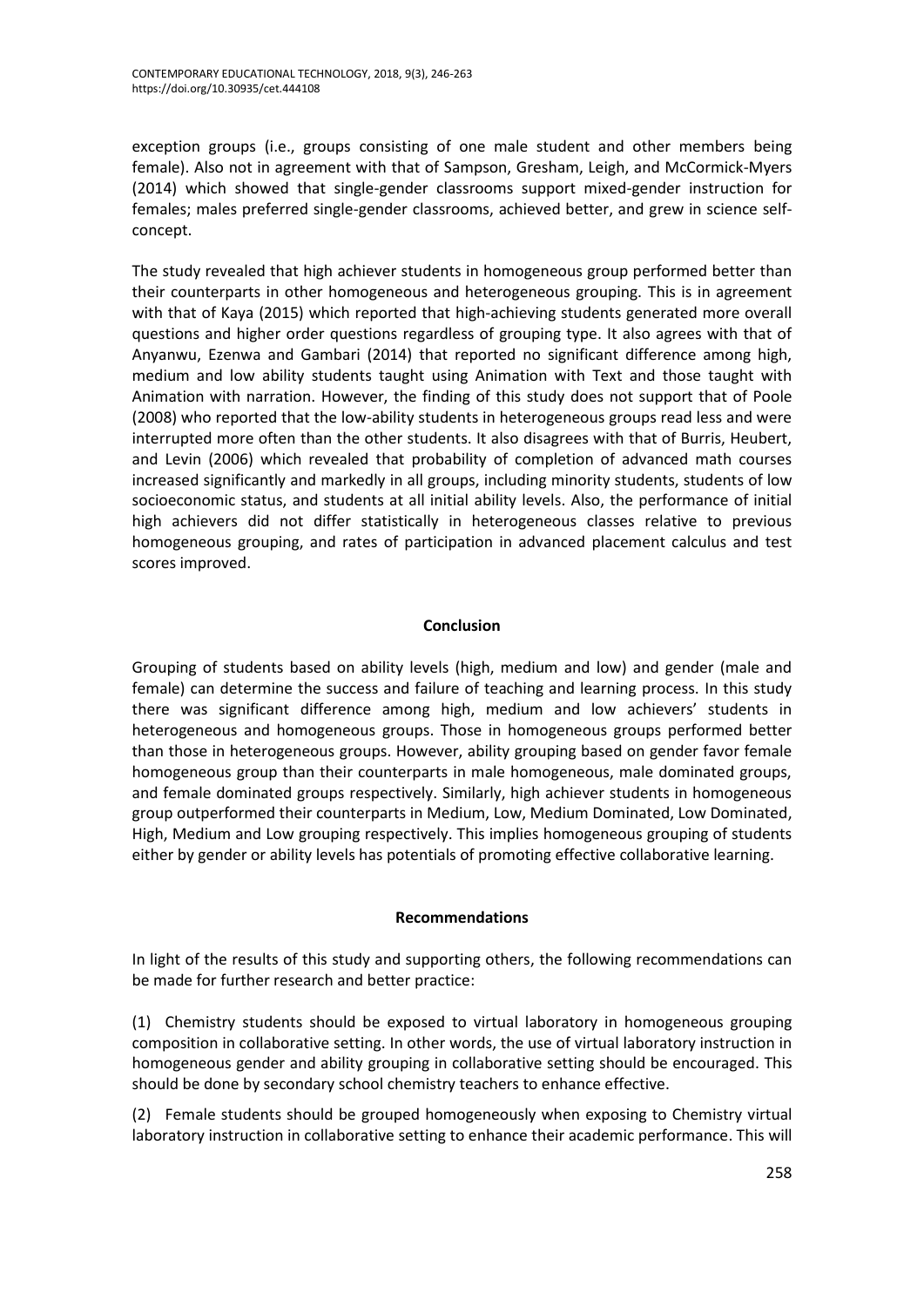exception groups (i.e., groups consisting of one male student and other members being female). Also not in agreement with that of Sampson, Gresham, Leigh, and McCormick-Myers (2014) which showed that single-gender classrooms support mixed-gender instruction for females; males preferred single-gender classrooms, achieved better, and grew in science selfconcept.

The study revealed that high achiever students in homogeneous group performed better than their counterparts in other homogeneous and heterogeneous grouping. This is in agreement with that of Kaya (2015) which reported that high-achieving students generated more overall questions and higher order questions regardless of grouping type. It also agrees with that of Anyanwu, Ezenwa and Gambari (2014) that reported no significant difference among high, medium and low ability students taught using Animation with Text and those taught with Animation with narration. However, the finding of this study does not support that of Poole (2008) who reported that the low-ability students in heterogeneous groups read less and were interrupted more often than the other students. It also disagrees with that of Burris, Heubert, and Levin (2006) which revealed that probability of completion of advanced math courses increased significantly and markedly in all groups, including minority students, students of low socioeconomic status, and students at all initial ability levels. Also, the performance of initial high achievers did not differ statistically in heterogeneous classes relative to previous homogeneous grouping, and rates of participation in advanced placement calculus and test scores improved.

# **Conclusion**

Grouping of students based on ability levels (high, medium and low) and gender (male and female) can determine the success and failure of teaching and learning process. In this study there was significant difference among high, medium and low achievers' students in heterogeneous and homogeneous groups. Those in homogeneous groups performed better than those in heterogeneous groups. However, ability grouping based on gender favor female homogeneous group than their counterparts in male homogeneous, male dominated groups, and female dominated groups respectively. Similarly, high achiever students in homogeneous group outperformed their counterparts in Medium, Low, Medium Dominated, Low Dominated, High, Medium and Low grouping respectively. This implies homogeneous grouping of students either by gender or ability levels has potentials of promoting effective collaborative learning.

## **Recommendations**

In light of the results of this study and supporting others, the following recommendations can be made for further research and better practice:

(1) Chemistry students should be exposed to virtual laboratory in homogeneous grouping composition in collaborative setting. In other words, the use of virtual laboratory instruction in homogeneous gender and ability grouping in collaborative setting should be encouraged. This should be done by secondary school chemistry teachers to enhance effective.

(2) Female students should be grouped homogeneously when exposing to Chemistry virtual laboratory instruction in collaborative setting to enhance their academic performance. This will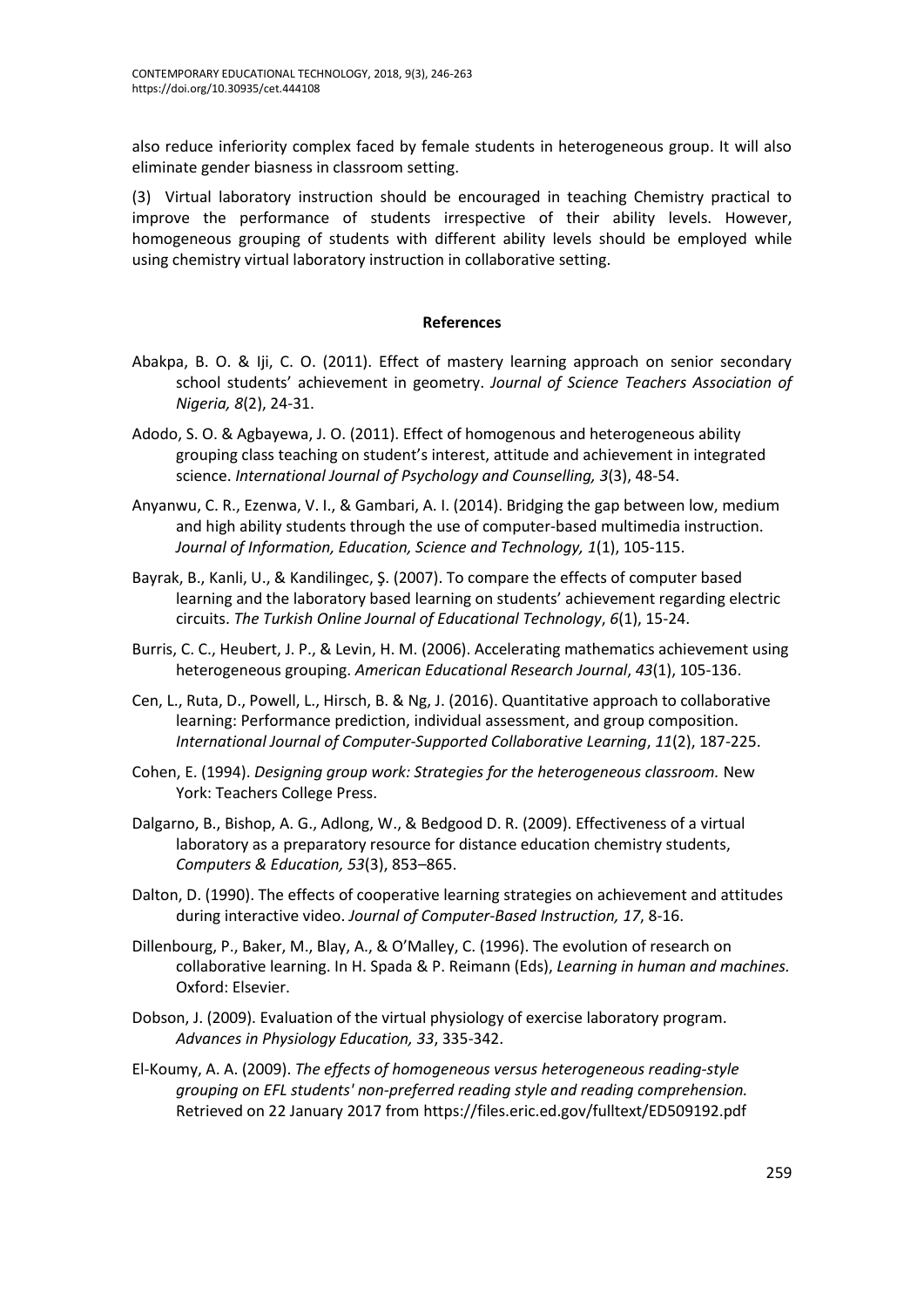also reduce inferiority complex faced by female students in heterogeneous group. It will also eliminate gender biasness in classroom setting.

(3) Virtual laboratory instruction should be encouraged in teaching Chemistry practical to improve the performance of students irrespective of their ability levels. However, homogeneous grouping of students with different ability levels should be employed while using chemistry virtual laboratory instruction in collaborative setting.

#### **References**

- Abakpa, B. O. & Iji, C. O. (2011). Effect of mastery learning approach on senior secondary school students' achievement in geometry. *Journal of Science Teachers Association of Nigeria, 8*(2), 24-31.
- Adodo, S. O. & Agbayewa, J. O. (2011). Effect of homogenous and heterogeneous ability grouping class teaching on student's interest, attitude and achievement in integrated science. *International Journal of Psychology and Counselling, 3*(3), 48-54.
- Anyanwu, C. R., Ezenwa, V. I., & Gambari, A. I. (2014). Bridging the gap between low, medium and high ability students through the use of computer-based multimedia instruction. *Journal of Information, Education, Science and Technology, 1*(1), 105-115.
- Bayrak, B., Kanli, U., & Kandilingec, Ş. (2007). To compare the effects of computer based learning and the laboratory based learning on students' achievement regarding electric circuits. *The Turkish Online Journal of Educational Technology*, *6*(1), 15-24.
- Burris, C. C., Heubert, J. P., & Levin, H. M. (2006). Accelerating mathematics achievement using heterogeneous grouping. *American Educational Research Journal*, *43*(1), 105-136.
- Cen, L., Ruta, D., Powell, L., Hirsch, B. & Ng, J. (2016). Quantitative approach to collaborative learning: Performance prediction, individual assessment, and group composition. *International Journal of Computer-Supported Collaborative Learning*, *11*(2), 187-225.
- Cohen, E. (1994). *Designing group work: Strategies for the heterogeneous classroom.* New York: Teachers College Press.
- Dalgarno, B., Bishop, A. G., Adlong, W., & Bedgood D. R. (2009). Effectiveness of a virtual laboratory as a preparatory resource for distance education chemistry students, *Computers & Education, 53*(3), 853–865.
- Dalton, D. (1990). The effects of cooperative learning strategies on achievement and attitudes during interactive video. *Journal of Computer-Based Instruction, 17*, 8-16.
- Dillenbourg, P., Baker, M., Blay, A., & O'Malley, C. (1996). The evolution of research on collaborative learning. In H. Spada & P. Reimann (Eds), *Learning in human and machines.* Oxford: Elsevier.
- Dobson, J. (2009). Evaluation of the virtual physiology of exercise laboratory program. *Advances in Physiology Education, 33*, 335-342.
- El-Koumy, A. A. (2009). *The effects of homogeneous versus heterogeneous reading-style grouping on EFL students' non-preferred reading style and reading comprehension.* Retrieved on 22 January 2017 from https://files.eric.ed.gov/fulltext/ED509192.pdf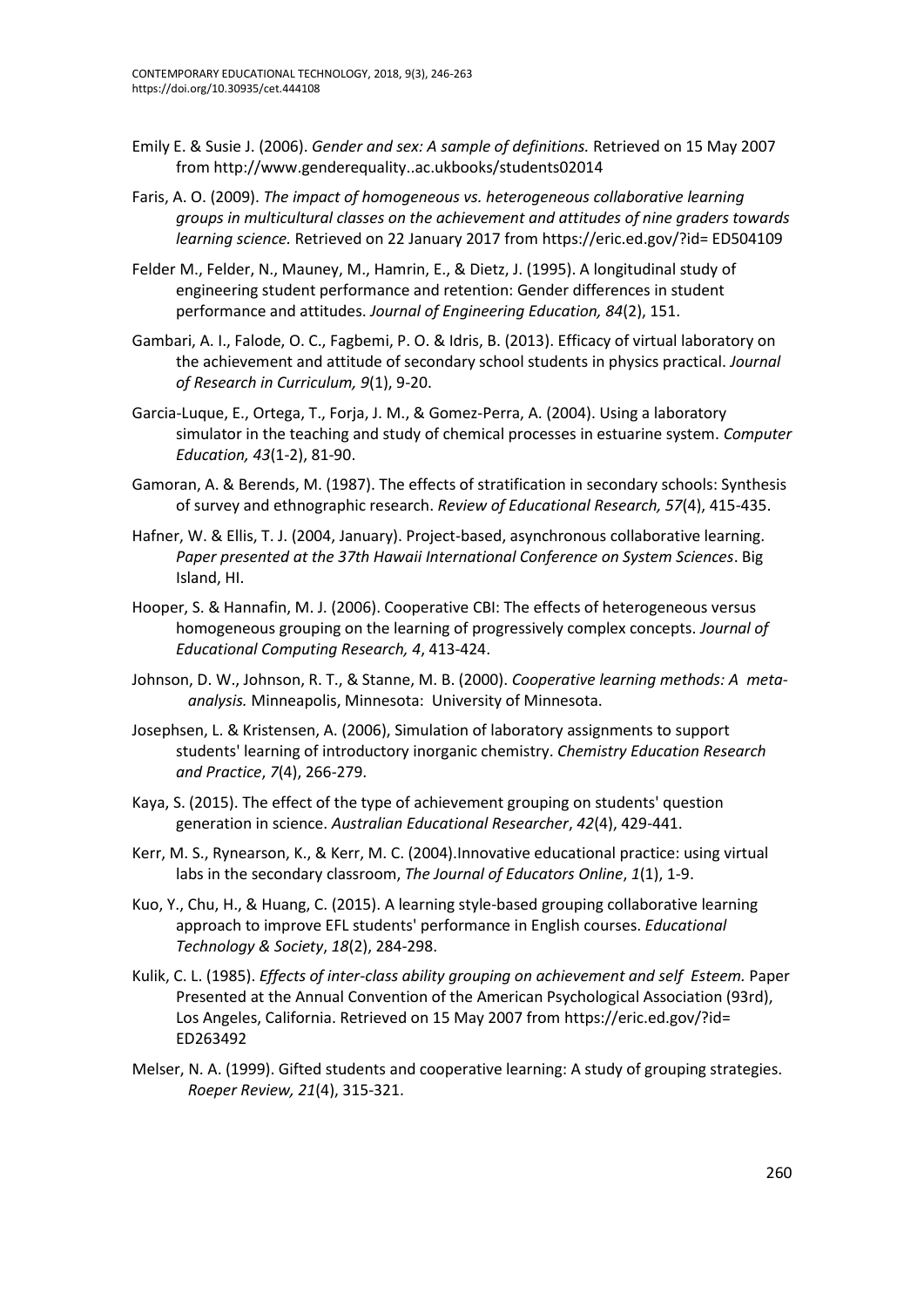- Emily E. & Susie J. (2006). *Gender and sex: A sample of definitions.* Retrieved on 15 May 2007 from <http://www.genderequality..ac.ukbooks/students02014>
- Faris, A. O. (2009). *The impact of homogeneous vs. heterogeneous collaborative learning groups in multicultural classes on the achievement and attitudes of nine graders towards learning science.* Retrieved on 22 January 2017 from [https://eric.ed.gov/?id=](https://eric.ed.gov/?id) ED504109
- Felder M., Felder, N., Mauney, M., Hamrin, E., & Dietz, J. (1995). A longitudinal study of engineering student performance and retention: Gender differences in student performance and attitudes. *Journal of Engineering Education, 84*(2), 151.
- Gambari, A. I., Falode, O. C., Fagbemi, P. O. & Idris, B. (2013). Efficacy of virtual laboratory on the achievement and attitude of secondary school students in physics practical. *Journal of Research in Curriculum, 9*(1), 9-20.
- Garcia-Luque, E., Ortega, T., Forja, J. M., & Gomez-Perra, A. (2004). Using a laboratory simulator in the teaching and study of chemical processes in estuarine system. *Computer Education, 43*(1-2), 81-90.
- Gamoran, A. & Berends, M. (1987). The effects of stratification in secondary schools: Synthesis of survey and ethnographic research. *Review of Educational Research, 57*(4), 415-435.
- Hafner, W. & Ellis, T. J. (2004, January). Project-based, asynchronous collaborative learning. *Paper presented at the 37th Hawaii International Conference on System Sciences*. Big Island, HI.
- Hooper, S. & Hannafin, M. J. (2006). Cooperative CBI: The effects of heterogeneous versus homogeneous grouping on the learning of progressively complex concepts. *Journal of Educational Computing Research, 4*, 413-424.
- Johnson, D. W., Johnson, R. T., & Stanne, M. B. (2000). *Cooperative learning methods: A metaanalysis.* Minneapolis, Minnesota: University of Minnesota.
- Josephsen, L. & Kristensen, A. (2006), Simulation of laboratory assignments to support students' learning of introductory inorganic chemistry. *Chemistry Education Research and Practice*, *7*(4), 266-279.
- Kaya, S. (2015). The effect of the type of achievement grouping on students' question generation in science. *Australian Educational Researcher*, *42*(4), 429-441.
- Kerr, M. S., Rynearson, K., & Kerr, M. C. (2004).Innovative educational practice: using virtual labs in the secondary classroom, *The Journal of Educators Online*, *1*(1), 1-9.
- Kuo, Y., Chu, H., & Huang, C. (2015). A learning style-based grouping collaborative learning approach to improve EFL students' performance in English courses. *Educational Technology & Society*, *18*(2), 284-298.
- Kulik, C. L. (1985). *Effects of inter-class ability grouping on achievement and self Esteem.* Paper Presented at the Annual Convention of the American Psychological Association (93rd), Los Angeles, California. Retrieved on 15 May 2007 from [https://eric.ed.gov/?id=](https://eric.ed.gov/?id) ED263492
- Melser, N. A. (1999). Gifted students and cooperative learning: A study of grouping strategies. *Roeper Review, 21*(4), 315-321.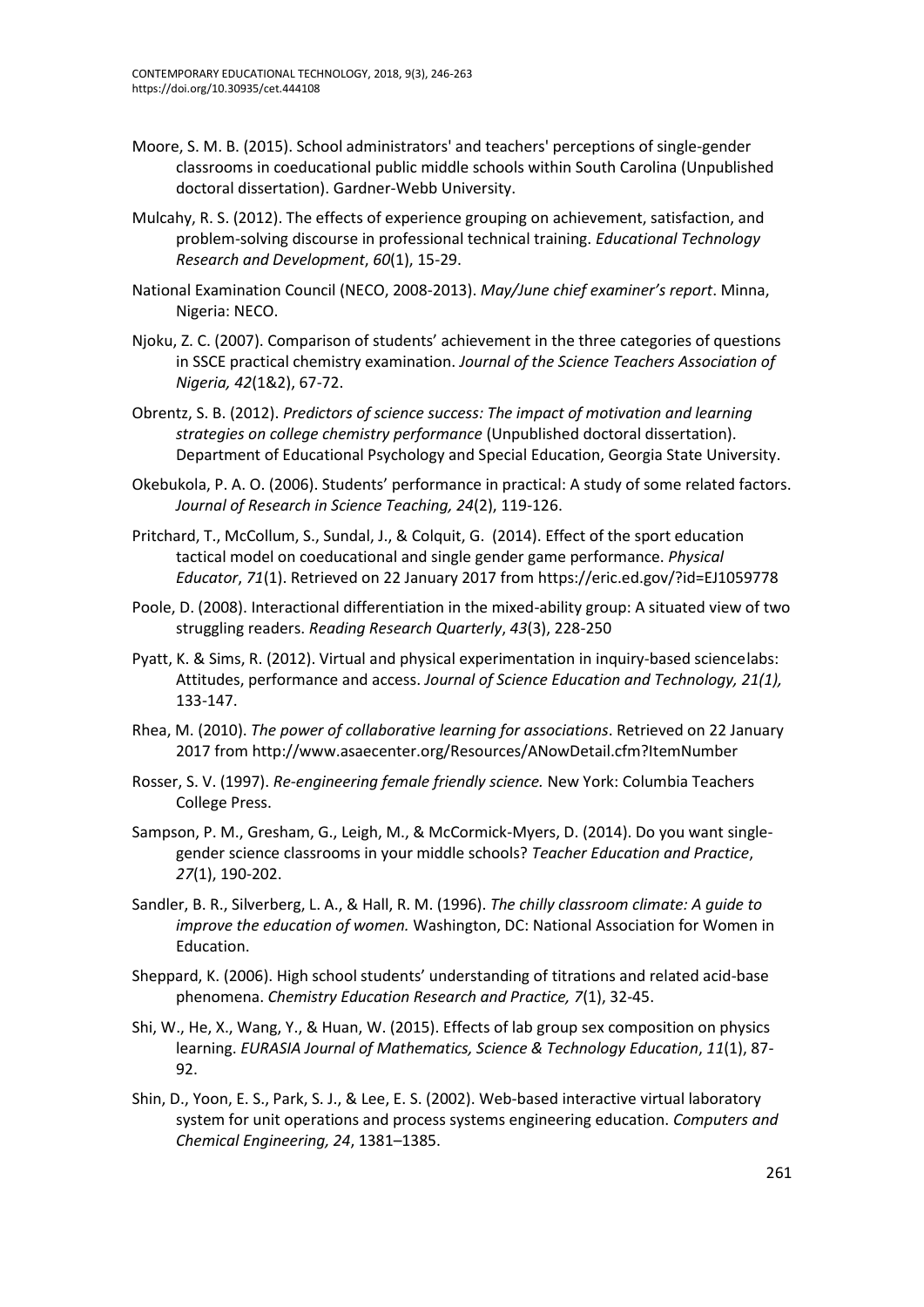- Moore, S. M. B. (2015). School administrators' and teachers' perceptions of single-gender classrooms in coeducational public middle schools within South Carolina (Unpublished doctoral dissertation). Gardner-Webb University.
- Mulcahy, R. S. (2012). The effects of experience grouping on achievement, satisfaction, and problem-solving discourse in professional technical training. *Educational Technology Research and Development*, *60*(1), 15-29.
- National Examination Council (NECO, 2008-2013). *May/June chief examiner's report*. Minna, Nigeria: NECO.
- Njoku, Z. C. (2007). Comparison of students' achievement in the three categories of questions in SSCE practical chemistry examination. *Journal of the Science Teachers Association of Nigeria, 42*(1&2), 67-72.
- Obrentz, S. B. (2012). *Predictors of science success: The impact of motivation and learning strategies on college chemistry performance* (Unpublished doctoral dissertation). Department of Educational Psychology and Special Education, Georgia State University.
- Okebukola, P. A. O. (2006). Students' performance in practical: A study of some related factors. *Journal of Research in Science Teaching, 24*(2), 119-126.
- Pritchard, T., McCollum, S., Sundal, J., & Colquit, G. (2014). Effect of the sport education tactical model on coeducational and single gender game performance. *Physical Educator*, *71*(1). Retrieved on 22 January 2017 from https://eric.ed.gov/?id=EJ1059778
- Poole, D. (2008). Interactional differentiation in the mixed-ability group: A situated view of two struggling readers. *Reading Research Quarterly*, *43*(3), 228-250
- Pyatt, K. & Sims, R. (2012). Virtual and physical experimentation in inquiry-based sciencelabs: Attitudes, performance and access. *Journal of Science Education and Technology, 21(1),*  133-147.
- Rhea, M. (2010). *The power of collaborative learning for associations*. Retrieved on 22 January 2017 from <http://www.asaecenter.org/Resources/ANowDetail.cfm?ItemNumber>
- Rosser, S. V. (1997). *Re-engineering female friendly science.* New York: Columbia Teachers College Press.
- Sampson, P. M., Gresham, G., Leigh, M., & McCormick-Myers, D. (2014). Do you want singlegender science classrooms in your middle schools? *Teacher Education and Practice*, *27*(1), 190-202.
- Sandler, B. R., Silverberg, L. A., & Hall, R. M. (1996). *The chilly classroom climate: A guide to improve the education of women.* Washington, DC: National Association for Women in Education.
- Sheppard, K. (2006). High school students' understanding of titrations and related acid-base phenomena. *Chemistry Education Research and Practice, 7*(1), 32-45.
- Shi, W., He, X., Wang, Y., & Huan, W. (2015). Effects of lab group sex composition on physics learning. *EURASIA Journal of Mathematics, Science & Technology Education*, *11*(1), 87- 92.
- Shin, D., Yoon, E. S., Park, S. J., & Lee, E. S. (2002). Web-based interactive virtual laboratory system for unit operations and process systems engineering education. *Computers and Chemical Engineering, 24*, 1381–1385.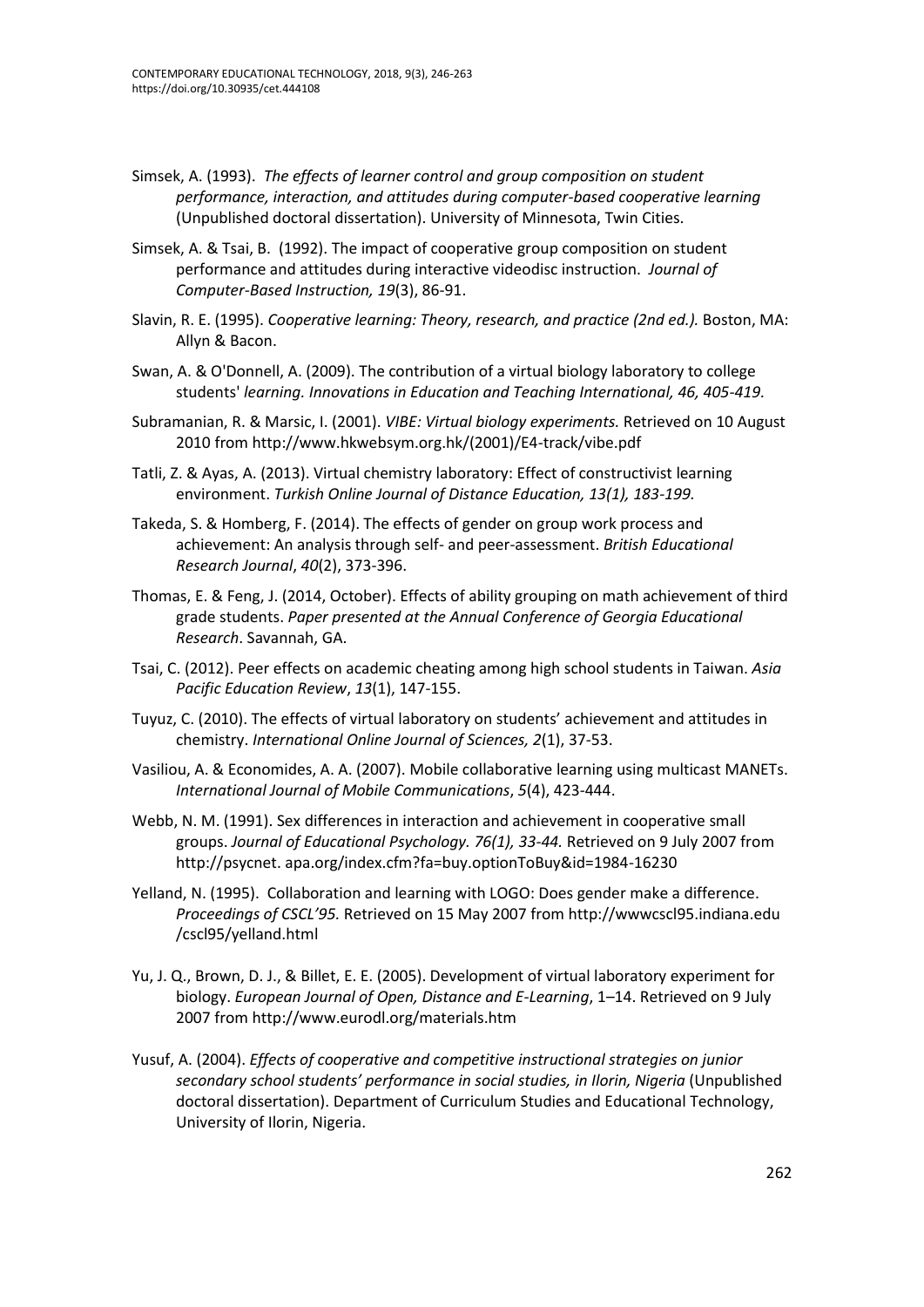- Simsek, A. (1993). *The effects of learner control and group composition on student performance, interaction, and attitudes during computer-based cooperative learning* (Unpublished doctoral dissertation). University of Minnesota, Twin Cities.
- Simsek, A. & Tsai, B. (1992). The impact of cooperative group composition on student performance and attitudes during interactive videodisc instruction. *Journal of Computer-Based Instruction, 19*(3), 86-91.
- Slavin, R. E. (1995). *Cooperative learning: Theory, research, and practice (2nd ed.).* Boston, MA: Allyn & Bacon.
- Swan, A. & O'Donnell, A. (2009). The contribution of a virtual biology laboratory to college students' *learning. Innovations in Education and Teaching International, 46, 405-419.*
- Subramanian, R. & Marsic, I. (2001). *VIBE: Virtual biology experiments.* Retrieved on 10 August 2010 from http://www.hkwebsym.org.hk/(2001)/E4-track/vibe.pdf
- Tatli, Z. & Ayas, A. (2013). Virtual chemistry laboratory: Effect of constructivist learning environment. *Turkish Online Journal of Distance Education, 13(1), 183-199.*
- Takeda, S. & Homberg, F. (2014). The effects of gender on group work process and achievement: An analysis through self- and peer-assessment. *British Educational Research Journal*, *40*(2), 373-396.
- Thomas, E. & Feng, J. (2014, October). Effects of ability grouping on math achievement of third grade students. *Paper presented at the Annual Conference of Georgia Educational Research*. Savannah, GA.
- Tsai, C. (2012). Peer effects on academic cheating among high school students in Taiwan. *Asia Pacific Education Review*, *13*(1), 147-155.
- Tuyuz, C. (2010). The effects of virtual laboratory on students' achievement and attitudes in chemistry. *International Online Journal of Sciences, 2*(1), 37-53.
- Vasiliou, A. & Economides, A. A. (2007). Mobile collaborative learning using multicast MANETs. *International Journal of Mobile Communications*, *5*(4), 423-444.
- Webb, N. M. (1991). Sex differences in interaction and achievement in cooperative small groups. *Journal of Educational Psychology. 76(1), 33-44.* Retrieved on 9 July 2007 from http://psycnet. apa.org/index.cfm?fa=buy.optionToBuy&id=1984-16230
- Yelland, N. (1995). Collaboration and learning with LOGO: Does gender make a difference. *Proceedings of CSCL'95.* Retrieved on 15 May 2007 from [http://wwwcs](ttp://www-c/)cl95.indiana.edu /cscl95/yelland.html
- Yu, J. Q., Brown, D. J., & Billet, E. E. (2005). Development of virtual laboratory experiment for biology. *European Journal of Open, Distance and E-Learning*, 1–14. Retrieved on 9 July 2007 from http://www.eurodl.org/materials.htm
- Yusuf, A. (2004). *Effects of cooperative and competitive instructional strategies on junior secondary school students' performance in social studies, in Ilorin, Nigeria* (Unpublished doctoral dissertation). Department of Curriculum Studies and Educational Technology, University of Ilorin, Nigeria.